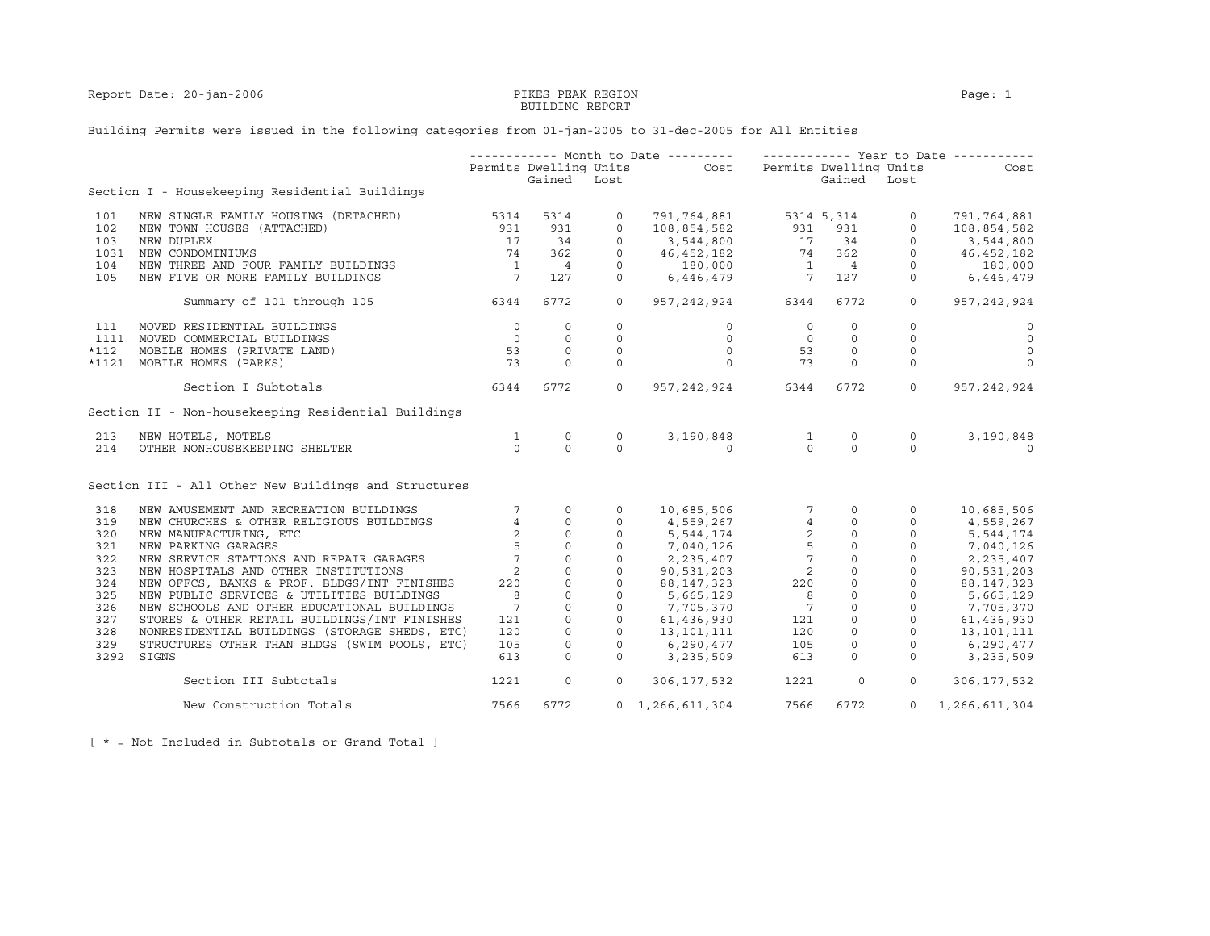Report Date: 20-jan-2006 PIKES PEAK REGION Page: 1

## BUILDING REPORT

## Building Permits were issued in the following categories from 01-jan-2005 to 31-dec-2005 for All Entities

|        |                                                      |                                        |                        |              | ------------ Month to Date --------- ------------- Year to Date ----------- |                                       |                            |                                                                                           |                      |
|--------|------------------------------------------------------|----------------------------------------|------------------------|--------------|-----------------------------------------------------------------------------|---------------------------------------|----------------------------|-------------------------------------------------------------------------------------------|----------------------|
|        |                                                      |                                        | Permits Dwelling Units |              | Cost Permits Dwelling Units                                                 |                                       |                            |                                                                                           | Cost                 |
|        |                                                      |                                        | Gained Lost            |              |                                                                             |                                       | Gained Lost                |                                                                                           |                      |
|        | Section I - Housekeeping Residential Buildings       |                                        |                        |              |                                                                             |                                       |                            |                                                                                           |                      |
| 101    | NEW SINGLE FAMILY HOUSING (DETACHED)                 | 5314                                   | 5314                   | $\circ$      | 791,764,881                                                                 |                                       | 5314 5,314                 | $\circ$                                                                                   | 791,764,881          |
| 102    | NEW TOWN HOUSES (ATTACHED)                           | 931                                    | 931                    | $\circ$      | 108,854,582                                                                 |                                       |                            | $\circ$                                                                                   | 108,854,582          |
| 103    | NEW DUPLEX                                           | 17                                     | 34                     | $\circ$      | 108,854,582 931 931<br>3,544,800 17 34<br>46,452,182 74 362<br>3,544,800    |                                       |                            | $\circ$                                                                                   | 3,544,800            |
| 1031   | NEW CONDOMINIUMS                                     | 74                                     | 362                    | $\circ$      |                                                                             |                                       |                            | $\circ$                                                                                   | 46, 452, 182         |
| 104    | NEW THREE AND FOUR FAMILY BUILDINGS                  | $\overline{\phantom{a}}$               | $\overline{4}$         | $\circ$      |                                                                             |                                       | $1 \qquad \qquad 4$        | $\circ$                                                                                   |                      |
| 105    | NEW FIVE OR MORE FAMILY BUILDINGS                    | $\overline{7}$                         | 127                    | $\circ$      | $180,000$ 1<br>6,446,479 7                                                  |                                       | 127                        | $\circ$                                                                                   | 180,000<br>6,446,479 |
|        |                                                      |                                        |                        |              |                                                                             |                                       |                            |                                                                                           |                      |
|        | Summary of 101 through 105                           | 6344                                   | 6772                   | $\circ$      | 957, 242, 924 6344                                                          |                                       | 6772                       | $\circ$                                                                                   | 957, 242, 924        |
| 111    | MOVED RESIDENTIAL BUILDINGS                          | $\overline{0}$                         | $\circ$                | $\circ$      | $\circ$                                                                     | $\circ$                               | $\circ$                    | $\Omega$                                                                                  | $\circ$              |
|        | 1111 MOVED COMMERCIAL BUILDINGS                      |                                        | $\circ$                | $\mathbf 0$  | $\circ$                                                                     | $\overline{0}$                        | $\circ$                    | $\mathbf 0$                                                                               | $\overline{0}$       |
| $*112$ | MOBILE HOMES (PRIVATE LAND)                          | $\begin{array}{c} 0 \\ 53 \end{array}$ | $\circ$                | $\circ$      | $\circ$                                                                     | 53                                    | $\circ$                    | $\circ$                                                                                   | $\circ$              |
| *1121  | MOBILE HOMES (PARKS)                                 | 73                                     | $\Omega$               | $\Omega$     | $\Omega$                                                                    | 73                                    | $\Omega$                   | $\Omega$                                                                                  | $\mathbf 0$          |
|        | Section I Subtotals                                  | 6344                                   | 6772                   | $\circ$      | 957, 242, 924 6344                                                          |                                       | 6772                       | $\circ$                                                                                   | 957, 242, 924        |
|        | Section II - Non-housekeeping Residential Buildings  |                                        |                        |              |                                                                             |                                       |                            |                                                                                           |                      |
| 213    | NEW HOTELS, MOTELS                                   | $\mathbf{1}$                           | $\circ$                | $\circ$      | 3,190,848                                                                   | $\mathbf{1}$                          | $\circ$                    | $\circ$                                                                                   | 3,190,848            |
| 214    | OTHER NONHOUSEKEEPING SHELTER                        | $\Omega$                               | $\Omega$               | $\Omega$     |                                                                             | $\Omega$                              | $\Omega$                   | $\Omega$                                                                                  |                      |
|        | Section III - All Other New Buildings and Structures |                                        |                        |              |                                                                             |                                       |                            |                                                                                           |                      |
| 318    | NEW AMUSEMENT AND RECREATION BUILDINGS               | $7\overline{ }$                        | $\circ$                | $\circ$      | 10,685,506                                                                  |                                       | 7<br>$\circ$               | $\circ$                                                                                   | 10,685,506           |
| 319    | NEW CHURCHES & OTHER RELIGIOUS BUILDINGS             | $\overline{4}$                         | $\circ$                | $\circ$      | 4,559,267                                                                   |                                       | $\circ$<br>$4\overline{ }$ | $\circ$                                                                                   | 4,559,267            |
| 320    | NEW MANUFACTURING, ETC                               | $\overline{a}$                         | $\mathbb O$            | $\mathsf{O}$ | 5,544,174                                                                   |                                       |                            | $\begin{bmatrix} 0 & 0 & 0 \ 0 & 0 & 0 \ 0 & 0 & 0 \ 0 & 0 & 0 \ 0 & 0 & 0 \end{bmatrix}$ | 5,544,174            |
| 321    | NEW PARKING GARAGES                                  | 5                                      | $\circ$                | $\circ$      | 7,040,126                                                                   | $\begin{array}{c} 2 \\ 5 \end{array}$ |                            |                                                                                           | 7,040,126            |
| 322    | NEW SERVICE STATIONS AND REPAIR GARAGES              | $7\overline{ }$                        | $\circ$                | $\circ$      |                                                                             | $7\overline{ }$                       |                            |                                                                                           | 2,235,407            |
| 323    | NEW HOSPITALS AND OTHER INSTITUTIONS                 | 2                                      | $\mathbf 0$            | $\circ$      | $2, 235, 407$<br>$90, 531, 203$<br>$88, 147, 323$<br>22                     | $\overline{2}$                        |                            |                                                                                           | 90,531,203           |
| 324    | NEW OFFCS, BANKS & PROF. BLDGS/INT FINISHES          | 220                                    | $\mathbf 0$            | $\Omega$     |                                                                             | 220                                   |                            |                                                                                           | 88,147,323           |
| 325    | NEW PUBLIC SERVICES & UTILITIES BUILDINGS            | 8                                      | $\circ$                | $\circ$      | 5,665,129                                                                   | 8                                     |                            |                                                                                           | 5,665,129            |
| 326    | NEW SCHOOLS AND OTHER EDUCATIONAL BUILDINGS          | $\overline{7}$                         | $\circ$                | $\circ$      | 7,705,370                                                                   | $\overline{7}$                        |                            |                                                                                           | 7,705,370            |
| 327    | STORES & OTHER RETAIL BUILDINGS/INT FINISHES         | 121                                    | $\circ$                | $\circ$      | 61,436,930                                                                  | 121                                   | $\circ$                    |                                                                                           | 61,436,930           |
|        |                                                      | 120                                    |                        |              |                                                                             |                                       | $\circ$                    |                                                                                           |                      |
| 328    | NONRESIDENTIAL BUILDINGS (STORAGE SHEDS, ETC)        |                                        | $\circ$                | $\circ$      | 13,101,111                                                                  | 120                                   |                            | $\begin{bmatrix} 0 \\ 0 \\ 0 \\ 0 \end{bmatrix}$                                          | 13,101,111           |
| 329    | STRUCTURES OTHER THAN BLDGS (SWIM POOLS, ETC)        | 105                                    | $\circ$                | $\circ$      | 6,290,477                                                                   | 105                                   | $\circ$                    | $\circ$                                                                                   | 6,290,477            |
| 3292   | SIGNS                                                | 613                                    | $\Omega$               | $\Omega$     | 3,235,509                                                                   | 613                                   | $\Omega$                   | $\Omega$                                                                                  | 3,235,509            |
|        | Section III Subtotals                                | 1221                                   | $\mathbf{0}$           | $\circ$      | 306,177,532                                                                 | 1221                                  | $\circ$                    | $\circ$                                                                                   | 306, 177, 532        |
|        | New Construction Totals                              | 7566                                   | 6772                   |              | $0 \quad 1,266,611,304$                                                     | 7566                                  | 6772                       | $\overline{0}$                                                                            | 1,266,611,304        |

[ \* = Not Included in Subtotals or Grand Total ]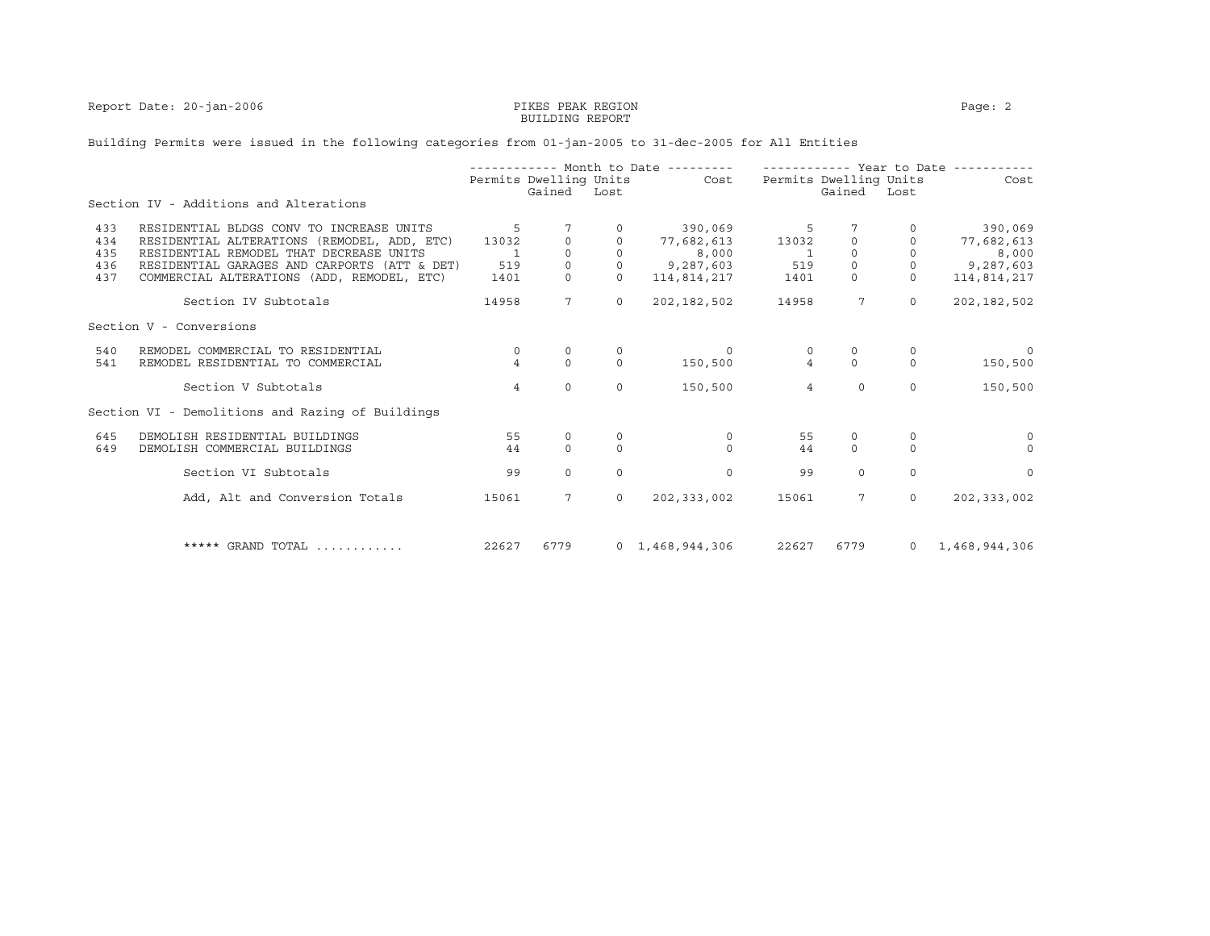Report Date: 20-jan-2006 **PIKES PEAK REGION** PAGE: 2

## BUILDING REPORT

## Building Permits were issued in the following categories from 01-jan-2005 to 31-dec-2005 for All Entities

|     |                                                  |                |                                  |          | ----------- Month to Date --------- |                |                                  | ----------- Year to Date ----- |               |
|-----|--------------------------------------------------|----------------|----------------------------------|----------|-------------------------------------|----------------|----------------------------------|--------------------------------|---------------|
|     |                                                  |                | Permits Dwelling Units<br>Gained | Lost     | Cost                                |                | Permits Dwelling Units<br>Gained | Lost                           | Cost          |
|     | Section IV - Additions and Alterations           |                |                                  |          |                                     |                |                                  |                                |               |
| 433 | RESIDENTIAL BLDGS CONV TO INCREASE UNITS         | .5             |                                  |          | 390,069                             | 5              |                                  |                                | 390,069       |
| 434 | RESIDENTIAL ALTERATIONS (REMODEL, ADD, ETC)      | 13032          |                                  |          | 77,682,613                          | 13032          | $\circ$                          |                                | 77,682,613    |
| 435 | RESIDENTIAL REMODEL THAT DECREASE UNITS          |                | $\Omega$                         | $\Omega$ | 8,000                               | $\overline{1}$ | $\Omega$                         | $\Omega$                       | 8,000         |
| 436 | RESIDENTIAL GARAGES AND CARPORTS (ATT & DET)     | 519            | $\Omega$                         |          | 9,287,603                           | 519            | $\circ$                          |                                | 9,287,603     |
| 437 | COMMERCIAL ALTERATIONS (ADD, REMODEL, ETC)       | 1401           | $\Omega$                         | $\Omega$ | 114,814,217                         | 1401           | $\circ$                          | $\Omega$                       | 114,814,217   |
|     | Section IV Subtotals                             | 14958          | $7\phantom{.0}$                  | $\circ$  | 202, 182, 502                       | 14958          | 7                                | $\Omega$                       | 202, 182, 502 |
|     | Section V - Conversions                          |                |                                  |          |                                     |                |                                  |                                |               |
| 540 | REMODEL COMMERCIAL TO RESIDENTIAL                | $\circ$        | $\mathbf 0$                      | $\Omega$ | $\Omega$                            |                | $\circ$                          | 0                              | - 0           |
| 541 | REMODEL RESIDENTIAL TO COMMERCIAL                | $\overline{4}$ | $\Omega$                         | $\Omega$ | 150,500                             | $\overline{4}$ | $\Omega$                         | $\Omega$                       | 150,500       |
|     | Section V Subtotals                              | $\overline{4}$ | $\Omega$                         | $\Omega$ | 150,500                             | $\overline{4}$ | $\Omega$                         | $\Omega$                       | 150,500       |
|     | Section VI - Demolitions and Razing of Buildings |                |                                  |          |                                     |                |                                  |                                |               |
| 645 | DEMOLISH RESIDENTIAL BUILDINGS                   | 55             | $\Omega$                         | $\Omega$ | $\circ$                             | 55             | 0                                | 0                              | $\Omega$      |
| 649 | DEMOLISH COMMERCIAL BUILDINGS                    | 44             | $\Omega$                         | $\Omega$ | $\Omega$                            | 44             | $\Omega$                         | $\Omega$                       | $\Omega$      |
|     | Section VI Subtotals                             | 99             | $\Omega$                         | $\Omega$ | $\Omega$                            | 99             | $\Omega$                         | $\Omega$                       | $\Omega$      |
|     | Add, Alt and Conversion Totals                   | 15061          | $7\overline{ }$                  | $\circ$  | 202, 333, 002                       | 15061          | $7\overline{ }$                  | $\Omega$                       | 202, 333, 002 |
|     |                                                  |                |                                  |          |                                     |                |                                  |                                |               |
|     | ***** GRAND TOTAL                                | 22627          | 6779                             |          | $0 \quad 1,468,944,306$             | 22627          | 6779                             | $\circ$                        | 1,468,944,306 |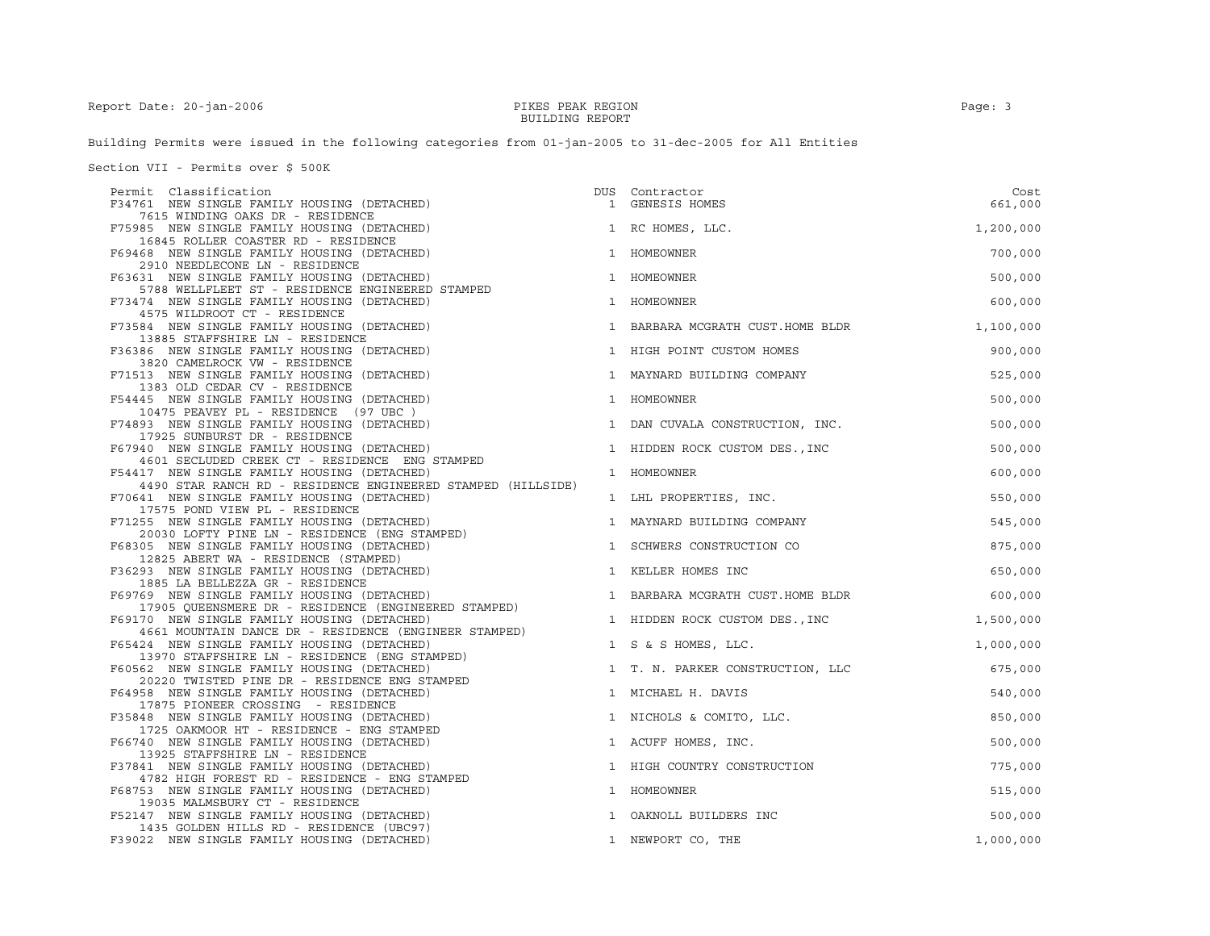Building Permits were issued in the following categories from 01-jan-2005 to 31-dec-2005 for All Entities

Section VII - Permits over \$ 500K

| Permit Classification<br>F34761 NEW SINGLE FAMILY HOUSING (DETACHED)                                                                                                        | DUS          | Contractor<br>1 GENESIS HOMES     | Cost<br>661,000 |
|-----------------------------------------------------------------------------------------------------------------------------------------------------------------------------|--------------|-----------------------------------|-----------------|
| 7615 WINDING OAKS DR - RESIDENCE                                                                                                                                            |              |                                   |                 |
| F75985 NEW SINGLE FAMILY HOUSING (DETACHED)<br>16845 ROLLER COASTER RD - RESIDENCE                                                                                          |              | 1 RC HOMES, LLC.                  | 1,200,000       |
| F69468 NEW SINGLE FAMILY HOUSING (DETACHED)                                                                                                                                 |              | 1 HOMEOWNER                       | 700,000         |
| 2910 NEEDLECONE LN - RESIDENCE<br>F63631 NEW SINGLE FAMILY HOUSING (DETACHED)                                                                                               |              | 1 HOMEOWNER                       | 500,000         |
| 5788 WELLFLEET ST - RESIDENCE ENGINEERED STAMPED<br>F73474 NEW SINGLE FAMILY HOUSING (DETACHED)                                                                             |              | 1 HOMEOWNER                       | 600,000         |
| 4575 WILDROOT CT - RESIDENCE                                                                                                                                                |              |                                   |                 |
| F73584 NEW SINGLE FAMILY HOUSING (DETACHED)<br>13885 STAFFSHIRE LN - RESIDENCE                                                                                              |              | 1 BARBARA MCGRATH CUST.HOME BLDR  | 1,100,000       |
| F36386 NEW SINGLE FAMILY HOUSING (DETACHED)                                                                                                                                 |              | 1 HIGH POINT CUSTOM HOMES         | 900,000         |
| 3820 CAMELROCK VW - RESIDENCE<br>F71513 NEW SINGLE FAMILY HOUSING (DETACHED)                                                                                                |              | 1 MAYNARD BUILDING COMPANY        | 525,000         |
| 1383 OLD CEDAR CV - RESIDENCE                                                                                                                                               |              |                                   |                 |
| F54445 NEW SINGLE FAMILY HOUSING (DETACHED)<br>10475 PEAVEY PL - RESIDENCE (97 UBC)                                                                                         |              | 1 HOMEOWNER                       | 500,000         |
| F74893 NEW SINGLE FAMILY HOUSING (DETACHED)                                                                                                                                 |              | 1 DAN CUVALA CONSTRUCTION, INC.   | 500,000         |
| 17925 SUNBURST DR - RESIDENCE<br>F67940 NEW SINGLE FAMILY HOUSING (DETACHED)                                                                                                |              | 1 HIDDEN ROCK CUSTOM DES., INC    | 500,000         |
| 4601 SECLUDED CREEK CT - RESIDENCE ENG STAMPED                                                                                                                              |              |                                   |                 |
| F54417 NEW SINGLE FAMILY HOUSING (DETACHED)<br>4490 STAR RANCH RD - RESIDENCE ENGINEERED STAMPED (HILLSIDE)                                                                 |              | 1 HOMEOWNER                       | 600,000         |
| F70641 NEW SINGLE FAMILY HOUSING (DETACHED)                                                                                                                                 |              | 1 LHL PROPERTIES, INC.            | 550,000         |
| 17575 POND VIEW PL - RESIDENCE                                                                                                                                              |              |                                   |                 |
| 255 NEW SINGLE FAMILY HOUSING (DETACHED)<br>20030 LOFTY PINE LN - RESIDENCE (ENG STAMPED)<br>105 NEW SINGLE TAMILY WOLLETT (<br>F71255 NEW SINGLE FAMILY HOUSING (DETACHED) |              | 1 MAYNARD BUILDING COMPANY        | 545,000         |
| F68305 NEW SINGLE FAMILY HOUSING (DETACHED)                                                                                                                                 | $\mathbf{1}$ | SCHWERS CONSTRUCTION CO           | 875,000         |
| 12825 ABERT WA - RESIDENCE (STAMPED)                                                                                                                                        |              |                                   |                 |
| F36293 NEW SINGLE FAMILY HOUSING (DETACHED)<br>1885 LA BELLEZZA GR - RESIDENCE                                                                                              |              | 1 KELLER HOMES INC                | 650,000         |
| F69769 NEW SINGLE FAMILY HOUSING (DETACHED)                                                                                                                                 |              | 1 BARBARA MCGRATH CUST. HOME BLDR | 600,000         |
| 17905 OUEENSMERE DR - RESIDENCE (ENGINEERED STAMPED)                                                                                                                        |              |                                   |                 |
| F69170 NEW SINGLE FAMILY HOUSING (DETACHED)<br>4661 MOUNTAIN DANCE DR - RESIDENCE (ENGINEER STAMPED)                                                                        |              | 1 HIDDEN ROCK CUSTOM DES., INC    | 1,500,000       |
| F65424 NEW SINGLE FAMILY HOUSING (DETACHED)                                                                                                                                 |              | 1 S & S HOMES, LLC.               | 1,000,000       |
| 13970 STAFFSHIRE LN - RESIDENCE (ENG STAMPED)<br>562 NEW SINGLE FAMILY HOUSING (DETACHED)<br>F60562 NEW SINGLE FAMILY HOUSING (DETACHED)                                    |              | 1 T. N. PARKER CONSTRUCTION, LLC  | 675,000         |
| 20220 TWISTED PINE DR - RESIDENCE ENG STAMPED<br>F64958 NEW SINGLE FAMILY HOUSING (DETACHED)                                                                                |              |                                   |                 |
| 17875 PIONEER CROSSING - RESIDENCE                                                                                                                                          |              | 1 MICHAEL H. DAVIS                | 540,000         |
| F35848 NEW SINGLE FAMILY HOUSING (DETACHED)                                                                                                                                 |              | 1 NICHOLS & COMITO, LLC.          | 850,000         |
| 1725 OAKMOOR HT - RESIDENCE - ENG STAMPED<br>F66740 NEW SINGLE FAMILY HOUSING (DETACHED)                                                                                    |              | 1 ACUFF HOMES, INC.               | 500,000         |
| 13925 STAFFSHIRE LN - RESIDENCE                                                                                                                                             |              |                                   |                 |
| F37841 NEW SINGLE FAMILY HOUSING (DETACHED)                                                                                                                                 |              | 1 HIGH COUNTRY CONSTRUCTION       | 775,000         |
| 4782 HIGH FOREST RD - RESIDENCE - ENG STAMPED<br>F68753 NEW SINGLE FAMILY HOUSING (DETACHED)                                                                                |              | 1 HOMEOWNER                       | 515,000         |
| 19035 MALMSBURY CT - RESIDENCE                                                                                                                                              |              |                                   |                 |
| F52147 NEW SINGLE FAMILY HOUSING (DETACHED)                                                                                                                                 |              | 1 OAKNOLL BUILDERS INC            | 500,000         |
| 1435 GOLDEN HILLS RD - RESIDENCE (UBC97)<br>F39022 NEW SINGLE FAMILY HOUSING (DETACHED)                                                                                     |              | 1 NEWPORT CO, THE                 | 1,000,000       |
|                                                                                                                                                                             |              |                                   |                 |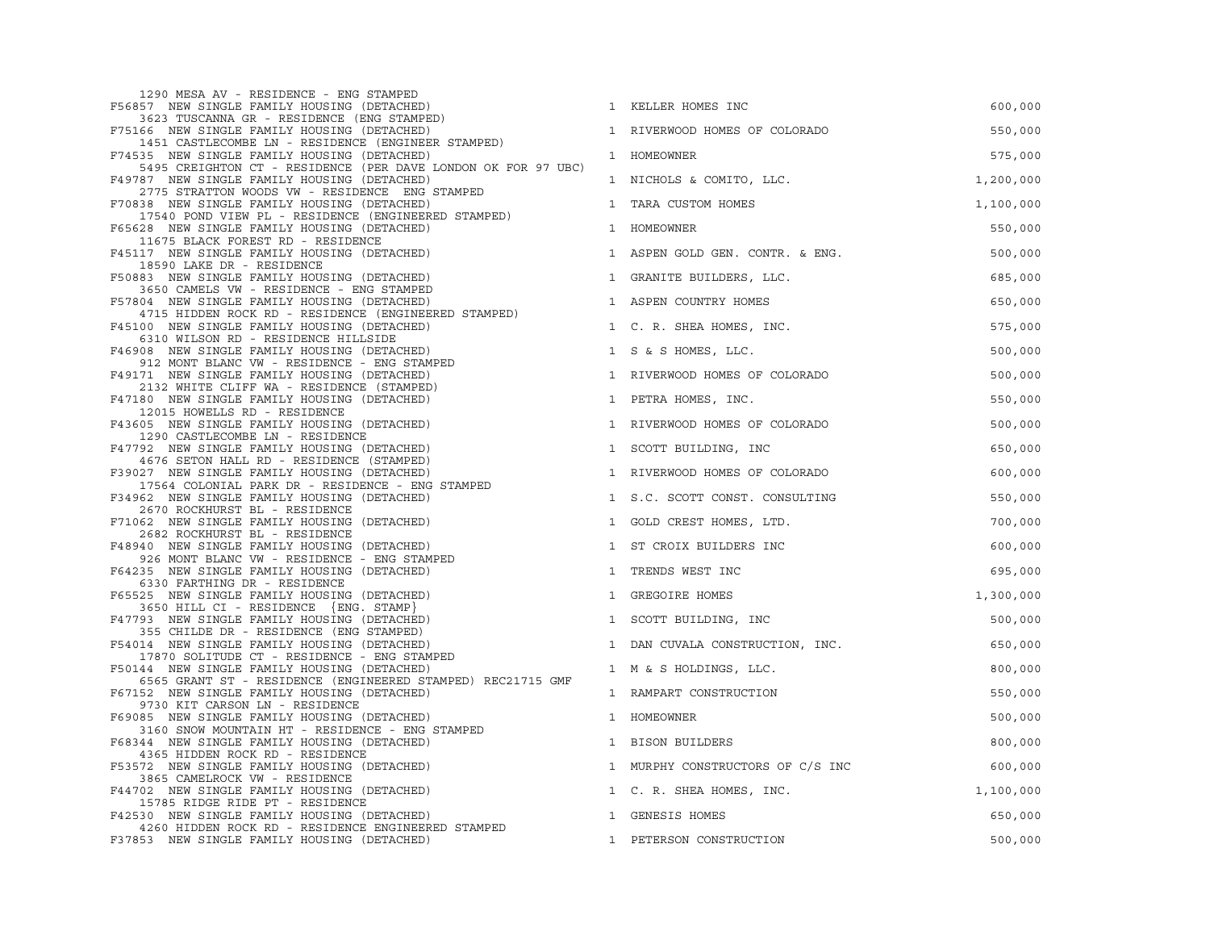| 1290 MESA AV - RESIDENCE - ENG STAMPED                                                                       |              |                                  |           |
|--------------------------------------------------------------------------------------------------------------|--------------|----------------------------------|-----------|
| F56857 NEW SINGLE FAMILY HOUSING (DETACHED)                                                                  |              | 1 KELLER HOMES INC               | 600,000   |
| 3623 TUSCANNA GR - RESIDENCE (ENG STAMPED)<br>F75166 NEW SINGLE FAMILY HOUSING (DETACHED)                    |              | 1 RIVERWOOD HOMES OF COLORADO    | 550,000   |
| 1451 CASTLECOMBE LN - RESIDENCE (ENGINEER STAMPED)<br>F74535 NEW SINGLE FAMILY HOUSING (DETACHED)            |              | 1 HOMEOWNER                      | 575,000   |
| 5495 CREIGHTON CT - RESIDENCE (PER DAVE LONDON OK FOR 97 UBC)<br>F49787 NEW SINGLE FAMILY HOUSING (DETACHED) |              | 1 NICHOLS & COMITO, LLC.         | 1,200,000 |
| 2775 STRATTON WOODS VW - RESIDENCE ENG STAMPED                                                               |              |                                  |           |
| F70838 NEW SINGLE FAMILY HOUSING (DETACHED)<br>17540 POND VIEW PL - RESIDENCE (ENGINEERED STAMPED)           |              | 1 TARA CUSTOM HOMES              | 1,100,000 |
| F65628 NEW SINGLE FAMILY HOUSING (DETACHED)<br>11675 BLACK FOREST RD - RESIDENCE                             |              | 1 HOMEOWNER                      | 550,000   |
| F45117 NEW SINGLE FAMILY HOUSING (DETACHED)<br>18590 LAKE DR - RESIDENCE                                     |              | 1 ASPEN GOLD GEN. CONTR. & ENG.  | 500,000   |
| F50883 NEW SINGLE FAMILY HOUSING (DETACHED)                                                                  |              | 1 GRANITE BUILDERS, LLC.         | 685,000   |
| 3650 CAMELS VW - RESIDENCE - ENG STAMPED<br>F57804 NEW SINGLE FAMILY HOUSING (DETACHED)                      |              | 1 ASPEN COUNTRY HOMES            | 650,000   |
| 4715 HIDDEN ROCK RD - RESIDENCE (ENGINEERED STAMPED)<br>F45100 NEW SINGLE FAMILY HOUSING (DETACHED)          |              | 1 C. R. SHEA HOMES, INC.         | 575,000   |
| 6310 WILSON RD - RESIDENCE HILLSIDE                                                                          |              |                                  |           |
| F46908 NEW SINGLE FAMILY HOUSING (DETACHED)<br>912 MONT BLANC VW - RESIDENCE - ENG STAMPED                   |              | 1 S & S HOMES, LLC.              | 500,000   |
| F49171 NEW SINGLE FAMILY HOUSING (DETACHED)                                                                  |              | 1 RIVERWOOD HOMES OF COLORADO    | 500,000   |
| 2132 WHITE CLIFF WA - RESIDENCE (STAMPED)<br>F47180 NEW SINGLE FAMILY HOUSING (DETACHED)                     |              | 1 PETRA HOMES, INC.              | 550,000   |
| 12015 HOWELLS RD - RESIDENCE<br>F43605 NEW SINGLE FAMILY HOUSING (DETACHED)                                  |              | 1 RIVERWOOD HOMES OF COLORADO    | 500,000   |
| 1290 CASTLECOMBE LN - RESIDENCE<br>F47792 NEW SINGLE FAMILY HOUSING (DETACHED)                               |              | 1 SCOTT BUILDING, INC            | 650,000   |
| 4676 SETON HALL RD - RESIDENCE (STAMPED)<br>F39027 NEW SINGLE FAMILY HOUSING (DETACHED)                      |              | 1 RIVERWOOD HOMES OF COLORADO    | 600,000   |
| 17564 COLONIAL PARK DR - RESIDENCE - ENG STAMPED                                                             |              |                                  |           |
| F34962 NEW SINGLE FAMILY HOUSING (DETACHED)<br>2670 ROCKHURST BL - RESIDENCE                                 |              | 1 S.C. SCOTT CONST. CONSULTING   | 550,000   |
| F71062 NEW SINGLE FAMILY HOUSING (DETACHED)                                                                  |              | 1 GOLD CREST HOMES, LTD.         | 700,000   |
| 2682 ROCKHURST BL - RESIDENCE<br>F48940 NEW SINGLE FAMILY HOUSING (DETACHED)                                 |              | 1 ST CROIX BUILDERS INC          | 600,000   |
| 926 MONT BLANC VW - RESIDENCE - ENG STAMPED<br>F64235 NEW SINGLE FAMILY HOUSING (DETACHED)                   | $\mathbf{1}$ | TRENDS WEST INC                  | 695,000   |
| 6330 FARTHING DR - RESIDENCE<br>F65525 NEW SINGLE FAMILY HOUSING (DETACHED)                                  |              | 1 GREGOIRE HOMES                 | 1,300,000 |
| 3650 HILL CI - RESIDENCE {ENG. STAMP}                                                                        |              |                                  |           |
| F47793 NEW SINGLE FAMILY HOUSING (DETACHED)<br>355 CHILDE DR - RESIDENCE (ENG STAMPED)                       |              | 1 SCOTT BUILDING, INC            | 500,000   |
| F54014 NEW SINGLE FAMILY HOUSING (DETACHED)                                                                  |              | 1 DAN CUVALA CONSTRUCTION, INC.  | 650,000   |
| 17870 SOLITUDE CT - RESIDENCE - ENG STAMPED<br>F50144 NEW SINGLE FAMILY HOUSING (DETACHED)                   |              | 1 M & S HOLDINGS, LLC.           | 800,000   |
| 6565 GRANT ST - RESIDENCE (ENGINEERED STAMPED) REC21715 GMF<br>F67152 NEW SINGLE FAMILY HOUSING (DETACHED)   |              | 1 RAMPART CONSTRUCTION           | 550,000   |
| 9730 KIT CARSON LN - RESIDENCE                                                                               |              |                                  |           |
| F69085 NEW SINGLE FAMILY HOUSING (DETACHED)<br>3160 SNOW MOUNTAIN HT - RESIDENCE - ENG STAMPED               |              | 1 HOMEOWNER                      | 500,000   |
| F68344 NEW SINGLE FAMILY HOUSING (DETACHED)<br>4365 HIDDEN ROCK RD - RESIDENCE                               |              | 1 BISON BUILDERS                 | 800,000   |
| F53572 NEW SINGLE FAMILY HOUSING (DETACHED)                                                                  |              | 1 MURPHY CONSTRUCTORS OF C/S INC | 600,000   |
| 3865 CAMELROCK VW - RESIDENCE<br>F44702 NEW SINGLE FAMILY HOUSING (DETACHED)                                 |              | 1 C. R. SHEA HOMES, INC.         | 1,100,000 |
| 15785 RIDGE RIDE PT - RESIDENCE                                                                              |              |                                  |           |
| F42530 NEW SINGLE FAMILY HOUSING (DETACHED)<br>4260 HIDDEN ROCK RD - RESIDENCE ENGINEERED STAMPED            |              | 1 GENESIS HOMES                  | 650,000   |
| F37853 NEW SINGLE FAMILY HOUSING (DETACHED)                                                                  |              | 1 PETERSON CONSTRUCTION          | 500,000   |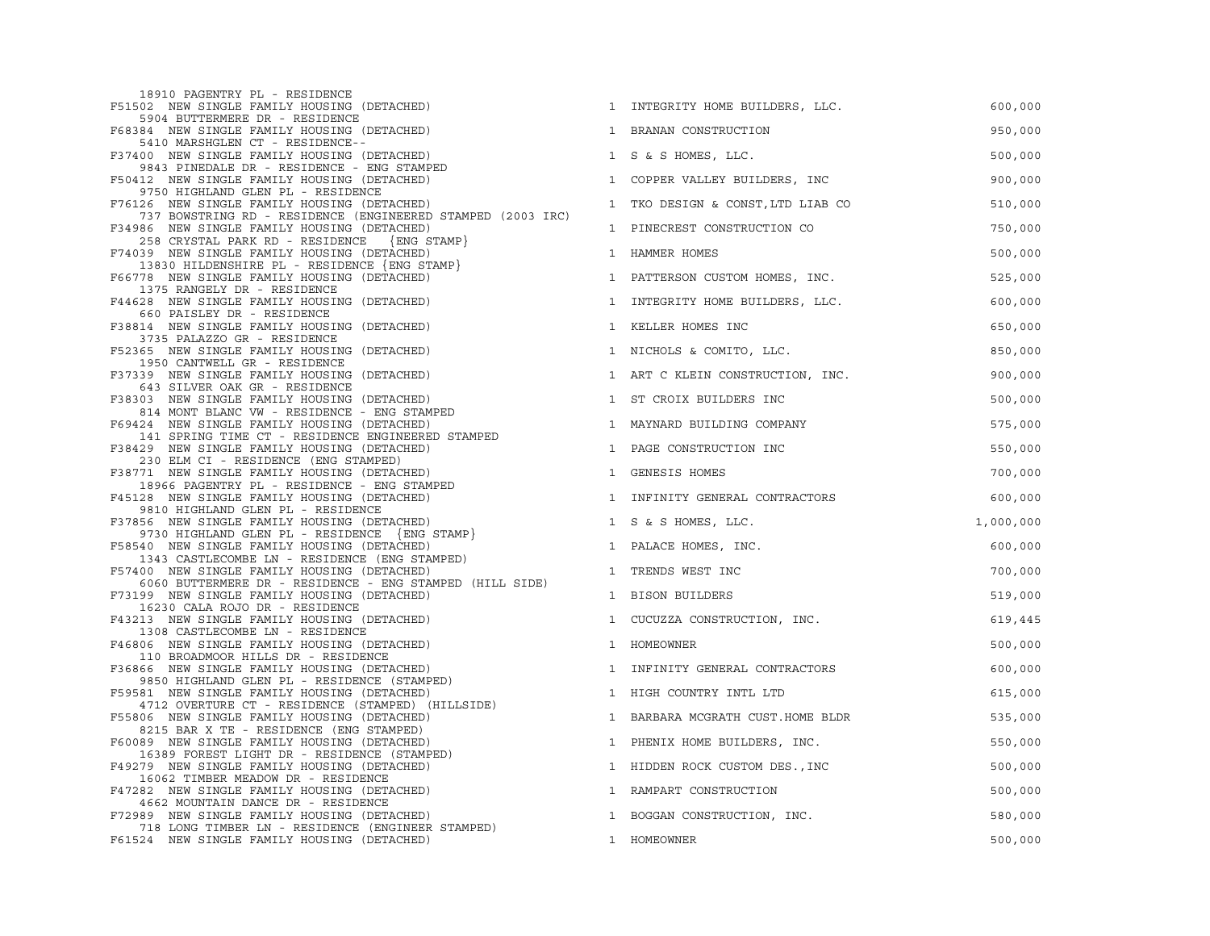| 18910 PAGENTRY PL - RESIDENCE                                                                              |                                   |           |
|------------------------------------------------------------------------------------------------------------|-----------------------------------|-----------|
| F51502 NEW SINGLE FAMILY HOUSING (DETACHED)                                                                | 1 INTEGRITY HOME BUILDERS, LLC.   | 600,000   |
| 5904 BUTTERMERE DR - RESIDENCE<br>F68384 NEW SINGLE FAMILY HOUSING (DETACHED)                              | 1 BRANAN CONSTRUCTION             | 950,000   |
| 5410 MARSHGLEN CT - RESIDENCE--<br>F37400 NEW SINGLE FAMILY HOUSING (DETACHED)                             | 1 S & S HOMES, LLC.               | 500,000   |
| 9843 PINEDALE DR - RESIDENCE - ENG STAMPED<br>F50412 NEW SINGLE FAMILY HOUSING (DETACHED)                  | 1 COPPER VALLEY BUILDERS, INC     | 900,000   |
| 9750 HIGHLAND GLEN PL - RESIDENCE<br>F76126 NEW SINGLE FAMILY HOUSING (DETACHED)                           | 1 TKO DESIGN & CONST, LTD LIAB CO | 510,000   |
| 737 BOWSTRING RD - RESIDENCE (ENGINEERED STAMPED (2003 IRC)<br>F34986 NEW SINGLE FAMILY HOUSING (DETACHED) | 1 PINECREST CONSTRUCTION CO       | 750,000   |
| 258 CRYSTAL PARK RD - RESIDENCE {ENG STAMP}<br>F74039 NEW SINGLE FAMILY HOUSING (DETACHED)                 | 1 HAMMER HOMES                    | 500,000   |
| 13830 HILDENSHIRE PL - RESIDENCE {ENG STAMP}<br>F66778 NEW SINGLE FAMILY HOUSING (DETACHED)                | 1 PATTERSON CUSTOM HOMES, INC.    | 525,000   |
| 1375 RANGELY DR - RESIDENCE<br>F44628 NEW SINGLE FAMILY HOUSING (DETACHED)                                 | 1 INTEGRITY HOME BUILDERS, LLC.   | 600,000   |
| 660 PAISLEY DR - RESIDENCE<br>F38814 NEW SINGLE FAMILY HOUSING (DETACHED)                                  | 1 KELLER HOMES INC                | 650,000   |
| 3735 PALAZZO GR - RESIDENCE<br>F52365 NEW SINGLE FAMILY HOUSING (DETACHED)                                 | 1 NICHOLS & COMITO, LLC.          | 850,000   |
| 1950 CANTWELL GR - RESIDENCE                                                                               |                                   |           |
| F37339 NEW SINGLE FAMILY HOUSING (DETACHED)<br>643 SILVER OAK GR - RESIDENCE                               | 1 ART C KLEIN CONSTRUCTION, INC.  | 900,000   |
| F38303 NEW SINGLE FAMILY HOUSING (DETACHED)<br>814 MONT BLANC VW - RESIDENCE - ENG STAMPED                 | 1 ST CROIX BUILDERS INC           | 500,000   |
| F69424 NEW SINGLE FAMILY HOUSING (DETACHED)<br>141 SPRING TIME CT - RESIDENCE ENGINEERED STAMPED           | 1 MAYNARD BUILDING COMPANY        | 575,000   |
| F38429 NEW SINGLE FAMILY HOUSING (DETACHED)<br>230 ELM CI - RESIDENCE (ENG STAMPED)                        | 1 PAGE CONSTRUCTION INC           | 550,000   |
| F38771 NEW SINGLE FAMILY HOUSING (DETACHED)<br>18966 PAGENTRY PL - RESIDENCE - ENG STAMPED                 | 1 GENESIS HOMES                   | 700,000   |
| F45128 NEW SINGLE FAMILY HOUSING (DETACHED)<br>9810 HIGHLAND GLEN PL - RESIDENCE                           | 1 INFINITY GENERAL CONTRACTORS    | 600,000   |
| F37856 NEW SINGLE FAMILY HOUSING (DETACHED)<br>9730 HIGHLAND GLEN PL - RESIDENCE {ENG STAMP}               | 1 S & S HOMES, LLC.               | 1,000,000 |
| F58540 NEW SINGLE FAMILY HOUSING (DETACHED)                                                                | 1 PALACE HOMES, INC.              | 600,000   |
| 1343 CASTLECOMBE LN - RESIDENCE (ENG STAMPED)<br>F57400 NEW SINGLE FAMILY HOUSING (DETACHED)               | 1 TRENDS WEST INC                 | 700,000   |
| 6060 BUTTERMERE DR - RESIDENCE - ENG STAMPED (HILL SIDE)<br>F73199 NEW SINGLE FAMILY HOUSING (DETACHED)    | 1 BISON BUILDERS                  | 519,000   |
| 16230 CALA ROJO DR - RESIDENCE<br>F43213 NEW SINGLE FAMILY HOUSING (DETACHED)                              | 1 CUCUZZA CONSTRUCTION, INC.      | 619,445   |
| 1308 CASTLECOMBE LN - RESIDENCE<br>F46806 NEW SINGLE FAMILY HOUSING (DETACHED)                             | 1 HOMEOWNER                       | 500,000   |
| 110 BROADMOOR HILLS DR - RESIDENCE<br>F36866 NEW SINGLE FAMILY HOUSING (DETACHED)                          | 1 INFINITY GENERAL CONTRACTORS    | 600,000   |
| 9850 HIGHLAND GLEN PL - RESIDENCE (STAMPED)<br>F59581 NEW SINGLE FAMILY HOUSING (DETACHED)                 | 1 HIGH COUNTRY INTL LTD           | 615,000   |
| 4712 OVERTURE CT - RESIDENCE (STAMPED) (HILLSIDE)<br>F55806 NEW SINGLE FAMILY HOUSING (DETACHED)           | 1 BARBARA MCGRATH CUST.HOME BLDR  | 535,000   |
| 8215 BAR X TE - RESIDENCE (ENG STAMPED)<br>F60089 NEW SINGLE FAMILY HOUSING (DETACHED)                     | 1 PHENIX HOME BUILDERS, INC.      | 550,000   |
| 16389 FOREST LIGHT DR - RESIDENCE (STAMPED)<br>F49279 NEW SINGLE FAMILY HOUSING (DETACHED)                 | 1 HIDDEN ROCK CUSTOM DES., INC    | 500,000   |
| 16062 TIMBER MEADOW DR - RESIDENCE<br>F47282 NEW SINGLE FAMILY HOUSING (DETACHED)                          | 1 RAMPART CONSTRUCTION            | 500,000   |
| 4662 MOUNTAIN DANCE DR - RESIDENCE<br>F72989 NEW SINGLE FAMILY HOUSING (DETACHED)                          | 1 BOGGAN CONSTRUCTION, INC.       | 580,000   |
| 718 LONG TIMBER LN - RESIDENCE (ENGINEER STAMPED)                                                          |                                   |           |
| F61524 NEW SINGLE FAMILY HOUSING (DETACHED)                                                                | 1 HOMEOWNER                       | 500,000   |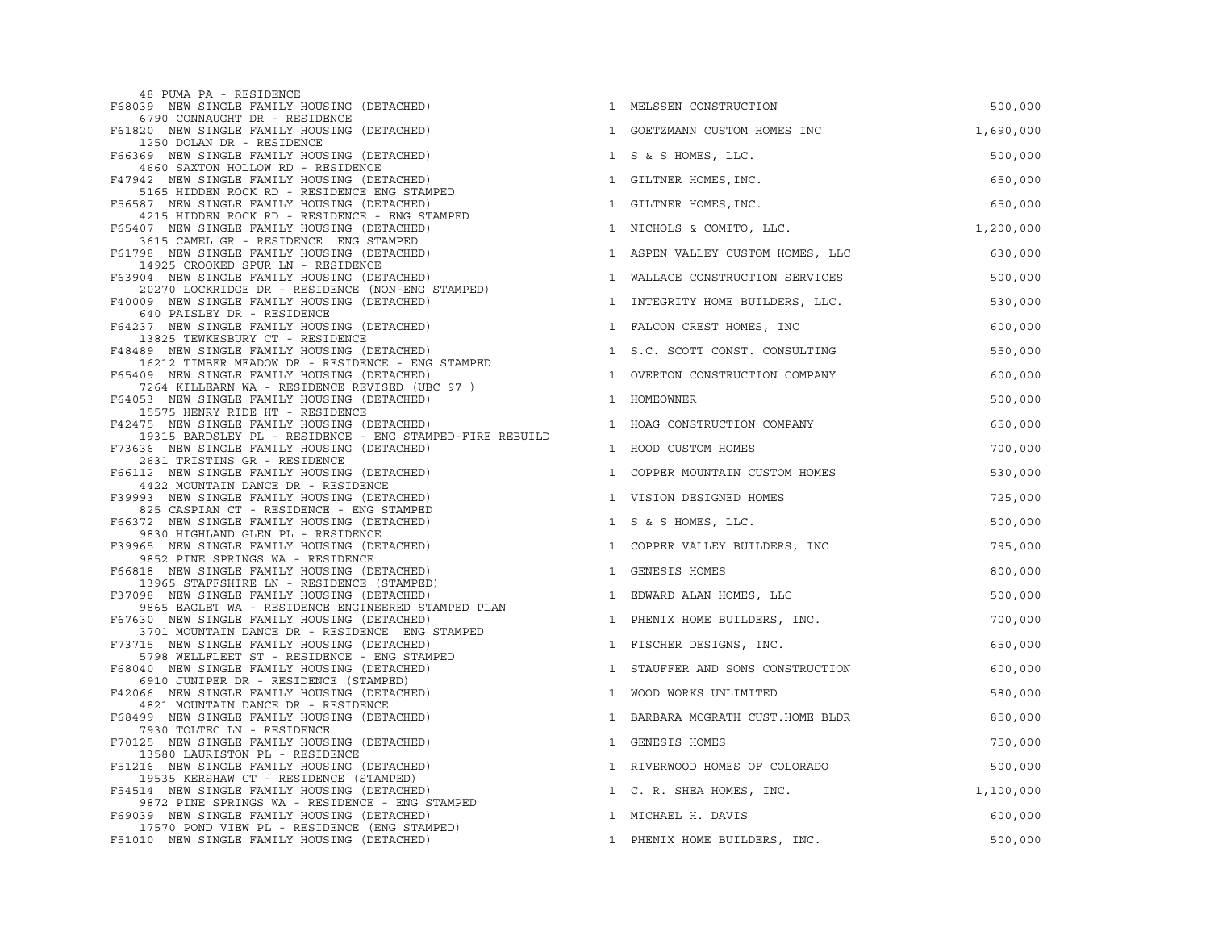| 48 PUMA PA - RESIDENCE                                                                                  |                                   |           |
|---------------------------------------------------------------------------------------------------------|-----------------------------------|-----------|
| F68039 NEW SINGLE FAMILY HOUSING (DETACHED)<br>6790 CONNAUGHT DR - RESIDENCE                            | 1 MELSSEN CONSTRUCTION            | 500,000   |
| F61820 NEW SINGLE FAMILY HOUSING (DETACHED)                                                             | 1 GOETZMANN CUSTOM HOMES INC      | 1,690,000 |
| 1250 DOLAN DR - RESIDENCE<br>F66369 NEW SINGLE FAMILY HOUSING (DETACHED)                                | 1 S & S HOMES, LLC.               | 500,000   |
| 4660 SAXTON HOLLOW RD - RESIDENCE<br>F47942 NEW SINGLE FAMILY HOUSING (DETACHED)                        | 1 GILTNER HOMES, INC.             | 650,000   |
| 5165 HIDDEN ROCK RD - RESIDENCE ENG STAMPED<br>F56587 NEW SINGLE FAMILY HOUSING (DETACHED)              | 1 GILTNER HOMES, INC.             | 650,000   |
| 4215 HIDDEN ROCK RD - RESIDENCE - ENG STAMPED<br>F65407 NEW SINGLE FAMILY HOUSING (DETACHED)            | 1 NICHOLS & COMITO, LLC.          | 1,200,000 |
| 3615 CAMEL GR - RESIDENCE ENG STAMPED<br>F61798 NEW SINGLE FAMILY HOUSING (DETACHED)                    | 1 ASPEN VALLEY CUSTOM HOMES, LLC  | 630,000   |
| 14925 CROOKED SPUR LN - RESIDENCE<br>F63904 NEW SINGLE FAMILY HOUSING (DETACHED)                        | 1 WALLACE CONSTRUCTION SERVICES   | 500,000   |
| 20270 LOCKRIDGE DR - RESIDENCE (NON-ENG STAMPED)<br>F40009 NEW SINGLE FAMILY HOUSING (DETACHED)         | 1 INTEGRITY HOME BUILDERS, LLC.   | 530,000   |
| 640 PAISLEY DR - RESIDENCE<br>F64237 NEW SINGLE FAMILY HOUSING (DETACHED)                               | 1 FALCON CREST HOMES, INC         | 600,000   |
| 13825 TEWKESBURY CT - RESIDENCE<br>F48489 NEW SINGLE FAMILY HOUSING (DETACHED)                          | 1 S.C. SCOTT CONST. CONSULTING    | 550,000   |
| 16212 TIMBER MEADOW DR - RESIDENCE - ENG STAMPED<br>F65409 NEW SINGLE FAMILY HOUSING (DETACHED)         | 1 OVERTON CONSTRUCTION COMPANY    | 600,000   |
| 7264 KILLEARN WA - RESIDENCE REVISED (UBC 97 )<br>F64053 NEW SINGLE FAMILY HOUSING (DETACHED)           | 1 HOMEOWNER                       | 500,000   |
| 15575 HENRY RIDE HT - RESIDENCE<br>F42475 NEW SINGLE FAMILY HOUSING (DETACHED)                          | 1 HOAG CONSTRUCTION COMPANY       | 650,000   |
| 19315 BARDSLEY PL - RESIDENCE - ENG STAMPED-FIRE REBUILD<br>F73636 NEW SINGLE FAMILY HOUSING (DETACHED) | 1 HOOD CUSTOM HOMES               | 700,000   |
| 2631 TRISTINS GR - RESIDENCE                                                                            |                                   |           |
| F66112 NEW SINGLE FAMILY HOUSING (DETACHED)<br>4422 MOUNTAIN DANCE DR - RESIDENCE                       | 1 COPPER MOUNTAIN CUSTOM HOMES    | 530,000   |
| F39993 NEW SINGLE FAMILY HOUSING (DETACHED)<br>825 CASPIAN CT - RESIDENCE - ENG STAMPED                 | 1 VISION DESIGNED HOMES           | 725,000   |
| F66372 NEW SINGLE FAMILY HOUSING (DETACHED)<br>9830 HIGHLAND GLEN PL - RESIDENCE                        | 1 S & S HOMES, LLC.               | 500,000   |
| F39965 NEW SINGLE FAMILY HOUSING (DETACHED)                                                             | 1 COPPER VALLEY BUILDERS, INC     | 795,000   |
| 9852 PINE SPRINGS WA - RESIDENCE<br>F66818 NEW SINGLE FAMILY HOUSING (DETACHED)                         | 1 GENESIS HOMES                   | 800,000   |
| 13965 STAFFSHIRE LN - RESIDENCE (STAMPED)<br>F37098 NEW SINGLE FAMILY HOUSING (DETACHED)                | 1 EDWARD ALAN HOMES, LLC          | 500,000   |
| 9865 EAGLET WA - RESIDENCE ENGINEERED STAMPED PLAN<br>F67630 NEW SINGLE FAMILY HOUSING (DETACHED)       | 1 PHENIX HOME BUILDERS, INC.      | 700,000   |
| 3701 MOUNTAIN DANCE DR - RESIDENCE ENG STAMPED<br>F73715 NEW SINGLE FAMILY HOUSING (DETACHED)           | 1 FISCHER DESIGNS, INC.           | 650,000   |
| 5798 WELLFLEET ST - RESIDENCE - ENG STAMPED<br>F68040 NEW SINGLE FAMILY HOUSING (DETACHED)              | 1 STAUFFER AND SONS CONSTRUCTION  | 600,000   |
| 6910 JUNIPER DR - RESIDENCE (STAMPED)<br>F42066 NEW SINGLE FAMILY HOUSING (DETACHED)                    | 1 WOOD WORKS UNLIMITED            | 580,000   |
| 4821 MOUNTAIN DANCE DR - RESIDENCE<br>F68499 NEW SINGLE FAMILY HOUSING (DETACHED)                       | 1 BARBARA MCGRATH CUST. HOME BLDR | 850,000   |
| 7930 TOLTEC LN - RESIDENCE<br>F70125 NEW SINGLE FAMILY HOUSING (DETACHED)                               | GENESIS HOMES<br>1                | 750,000   |
| 13580 LAURISTON PL - RESIDENCE                                                                          |                                   | 500,000   |
| F51216 NEW SINGLE FAMILY HOUSING (DETACHED)<br>19535 KERSHAW CT - RESIDENCE (STAMPED)                   | 1 RIVERWOOD HOMES OF COLORADO     |           |
| F54514 NEW SINGLE FAMILY HOUSING (DETACHED)<br>9872 PINE SPRINGS WA - RESIDENCE - ENG STAMPED           | 1 C. R. SHEA HOMES, INC.          | 1,100,000 |
| F69039 NEW SINGLE FAMILY HOUSING (DETACHED)                                                             | 1 MICHAEL H. DAVIS                | 600,000   |
| 17570 POND VIEW PL - RESIDENCE (ENG STAMPED)<br>F51010 NEW SINGLE FAMILY HOUSING (DETACHED)             | 1 PHENIX HOME BUILDERS, INC.      | 500,000   |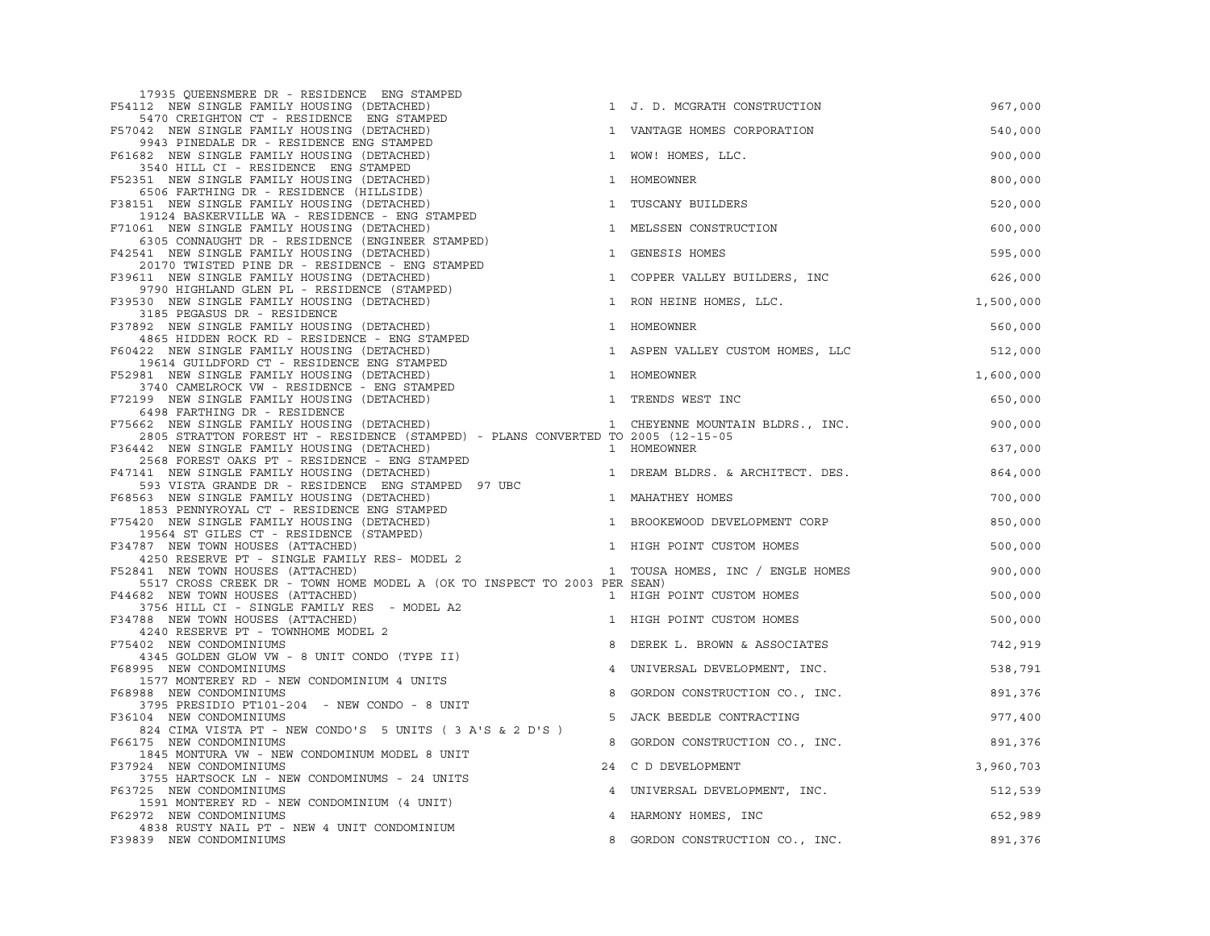| 17935 QUEENSMERE DR - RESIDENCE ENG STAMPED                                                                                      |              |                                      |           |
|----------------------------------------------------------------------------------------------------------------------------------|--------------|--------------------------------------|-----------|
| F54112 NEW SINGLE FAMILY HOUSING (DETACHED)                                                                                      |              | 1 J. D. MCGRATH CONSTRUCTION         | 967,000   |
| 5470 CREIGHTON CT - RESIDENCE ENG STAMPED<br>F57042 NEW SINGLE FAMILY HOUSING (DETACHED)                                         |              | 1 VANTAGE HOMES CORPORATION          | 540,000   |
| 9943 PINEDALE DR - RESIDENCE ENG STAMPED<br>F61682 NEW SINGLE FAMILY HOUSING (DETACHED)                                          |              | 1 WOW! HOMES, LLC.                   | 900,000   |
| 3540 HILL CI - RESIDENCE ENG STAMPED<br>F52351 NEW SINGLE FAMILY HOUSING (DETACHED)                                              |              | 1 HOMEOWNER                          | 800,000   |
| 6506 FARTHING DR - RESIDENCE (HILLSIDE)<br>F38151 NEW SINGLE FAMILY HOUSING (DETACHED)                                           | $\mathbf{1}$ | TUSCANY BUILDERS                     | 520,000   |
| 19124 BASKERVILLE WA - RESIDENCE - ENG STAMPED<br>F71061 NEW SINGLE FAMILY HOUSING (DETACHED)                                    |              | 1 MELSSEN CONSTRUCTION               | 600,000   |
| 6305 CONNAUGHT DR - RESIDENCE (ENGINEER STAMPED)<br>F42541 NEW SINGLE FAMILY HOUSING (DETACHED)                                  | $\mathbf{1}$ | GENESIS HOMES                        | 595,000   |
| 20170 TWISTED PINE DR - RESIDENCE - ENG STAMPED<br>F39611 NEW SINGLE FAMILY HOUSING (DETACHED)                                   | $\mathbf{1}$ | COPPER VALLEY BUILDERS, INC          | 626,000   |
| 9790 HIGHLAND GLEN PL - RESIDENCE (STAMPED)<br>F39530 NEW SINGLE FAMILY HOUSING (DETACHED)                                       |              | 1,500,000<br>1 RON HEINE HOMES, LLC. |           |
| 3185 PEGASUS DR - RESIDENCE<br>F37892 NEW SINGLE FAMILY HOUSING (DETACHED)                                                       |              | 1 HOMEOWNER                          | 560,000   |
| 4865 HIDDEN ROCK RD - RESIDENCE - ENG STAMPED                                                                                    |              |                                      |           |
| F60422 NEW SINGLE FAMILY HOUSING (DETACHED)<br>19614 GUILDFORD CT - RESIDENCE ENG STAMPED                                        |              | 1 ASPEN VALLEY CUSTOM HOMES, LLC     | 512,000   |
| F52981 NEW SINGLE FAMILY HOUSING (DETACHED)<br>3740 CAMELROCK VW - RESIDENCE - ENG STAMPED                                       |              | 1 HOMEOWNER                          | 1,600,000 |
| F72199 NEW SINGLE FAMILY HOUSING (DETACHED)<br>6498 FARTHING DR - RESIDENCE                                                      | $\mathbf{1}$ | TRENDS WEST INC                      | 650,000   |
| F75662 NEW SINGLE FAMILY HOUSING (DETACHED)<br>2805 STRATTON FOREST HT - RESIDENCE (STAMPED) - PLANS CONVERTED TO 2005 (12-15-05 |              | 1 CHEYENNE MOUNTAIN BLDRS., INC.     | 900,000   |
| F36442 NEW SINGLE FAMILY HOUSING (DETACHED)                                                                                      |              | 1 HOMEOWNER                          | 637,000   |
| 2568 FOREST OAKS PT - RESIDENCE - ENG STAMPED<br>F47141 NEW SINGLE FAMILY HOUSING (DETACHED)                                     |              | 1 DREAM BLDRS. & ARCHITECT. DES.     | 864,000   |
| 593 VISTA GRANDE DR - RESIDENCE ENG STAMPED 97 UBC<br>F68563 NEW SINGLE FAMILY HOUSING (DETACHED)                                |              | 1 MAHATHEY HOMES                     | 700,000   |
| 1853 PENNYROYAL CT - RESIDENCE ENG STAMPED<br>F75420 NEW SINGLE FAMILY HOUSING (DETACHED)                                        |              | 1 BROOKEWOOD DEVELOPMENT CORP        | 850,000   |
| 19564 ST GILES CT - RESIDENCE (STAMPED)<br>F34787 NEW TOWN HOUSES (ATTACHED)                                                     |              | 1 HIGH POINT CUSTOM HOMES            | 500,000   |
| 4250 RESERVE PT - SINGLE FAMILY RES- MODEL 2                                                                                     |              |                                      |           |
| F52841 NEW TOWN HOUSES (ATTACHED)<br>5517 CROSS CREEK DR - TOWN HOME MODEL A (OK TO INSPECT TO 2003 PER SEAN)                    |              | 1 TOUSA HOMES, INC / ENGLE HOMES     | 900,000   |
| F44682 NEW TOWN HOUSES (ATTACHED)<br>3756 HILL CI - SINGLE FAMILY RES - MODEL A2                                                 |              | 1 HIGH POINT CUSTOM HOMES            | 500,000   |
| F34788 NEW TOWN HOUSES (ATTACHED)<br>4240 RESERVE PT - TOWNHOME MODEL 2                                                          |              | 1 HIGH POINT CUSTOM HOMES            | 500,000   |
| F75402 NEW CONDOMINIUMS                                                                                                          | 8            | DEREK L. BROWN & ASSOCIATES          | 742,919   |
| 4345 GOLDEN GLOW VW - 8 UNIT CONDO (TYPE II)<br>F68995 NEW CONDOMINIUMS                                                          |              | 4 UNIVERSAL DEVELOPMENT, INC.        | 538,791   |
| 1577 MONTEREY RD - NEW CONDOMINIUM 4 UNITS<br>F68988 NEW CONDOMINIUMS                                                            | 8            | GORDON CONSTRUCTION CO., INC.        | 891,376   |
| 3795 PRESIDIO PT101-204 - NEW CONDO - 8 UNIT<br>F36104 NEW CONDOMINIUMS                                                          |              | 5 JACK BEEDLE CONTRACTING            | 977,400   |
| 824 CIMA VISTA PT - NEW CONDO'S 5 UNITS (3 A'S & 2 D'S )<br>F66175 NEW CONDOMINIUMS                                              | 8            | GORDON CONSTRUCTION CO., INC.        | 891,376   |
| 1845 MONTURA VW - NEW CONDOMINUM MODEL 8 UNIT<br>F37924 NEW CONDOMINIUMS                                                         |              | 24 C D DEVELOPMENT                   | 3,960,703 |
| 3755 HARTSOCK LN - NEW CONDOMINUMS - 24 UNITS                                                                                    |              |                                      |           |
| F63725 NEW CONDOMINIUMS<br>1591 MONTEREY RD - NEW CONDOMINIUM (4 UNIT)                                                           |              | 4 UNIVERSAL DEVELOPMENT, INC.        | 512,539   |
| F62972 NEW CONDOMINIUMS<br>4838 RUSTY NAIL PT - NEW 4 UNIT CONDOMINIUM                                                           |              | 4 HARMONY HOMES, INC                 | 652,989   |
| F39839 NEW CONDOMINIUMS                                                                                                          | 8            | GORDON CONSTRUCTION CO., INC.        | 891,376   |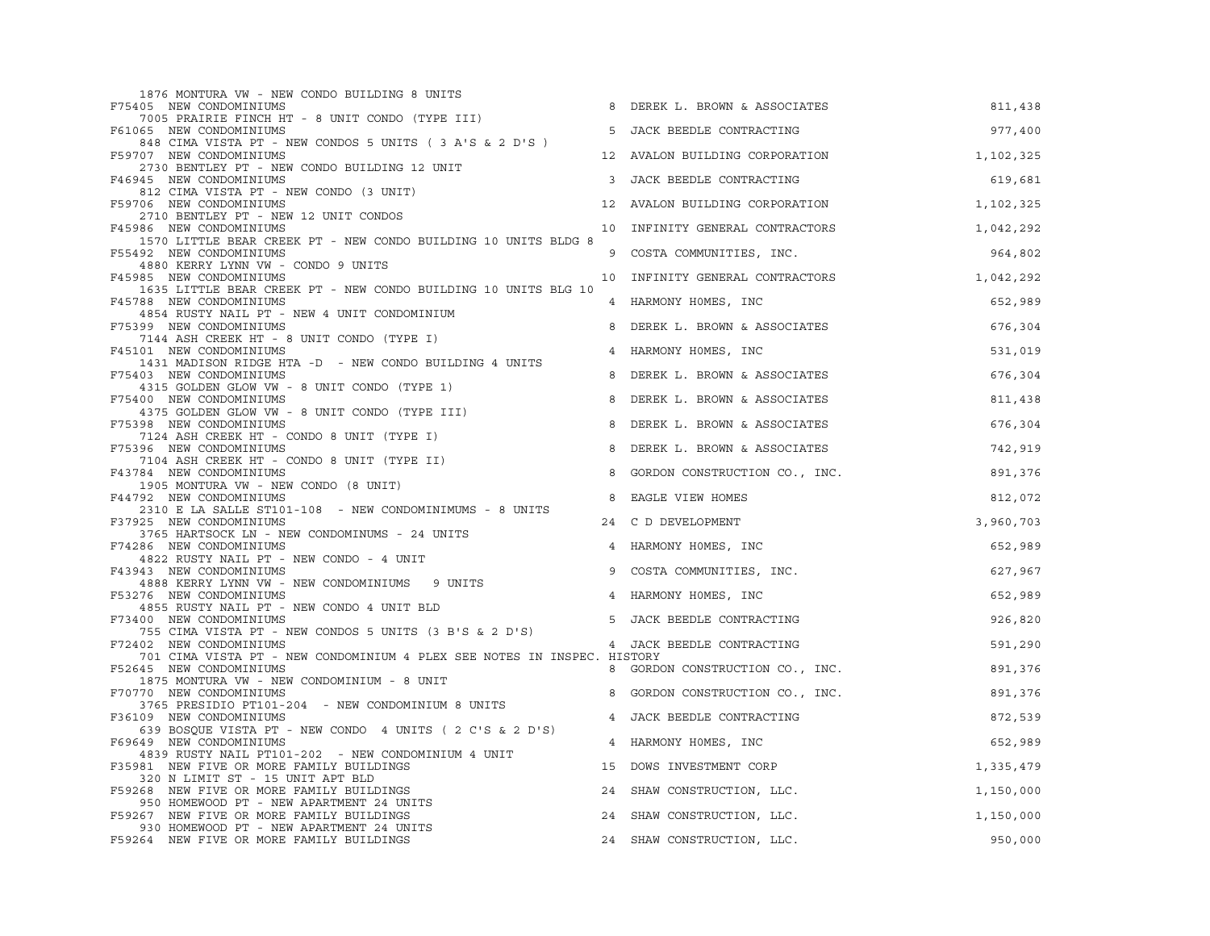| 1876 MONTURA VW - NEW CONDO BUILDING 8 UNITS                                                   |    |                                 |           |
|------------------------------------------------------------------------------------------------|----|---------------------------------|-----------|
| F75405 NEW CONDOMINIUMS                                                                        |    | 8 DEREK L. BROWN & ASSOCIATES   | 811,438   |
| 7005 PRAIRIE FINCH HT - 8 UNIT CONDO (TYPE III)<br>F61065 NEW CONDOMINIUMS                     |    | 5 JACK BEEDLE CONTRACTING       | 977,400   |
| 848 CIMA VISTA PT - NEW CONDOS 5 UNITS ( 3 A'S & 2 D'S )<br>F59707 NEW CONDOMINIUMS            |    | 12 AVALON BUILDING CORPORATION  | 1,102,325 |
| 2730 BENTLEY PT - NEW CONDO BUILDING 12 UNIT                                                   |    |                                 |           |
| F46945 NEW CONDOMINIUMS<br>812 CIMA VISTA PT - NEW CONDO (3 UNIT)                              |    | 3 JACK BEEDLE CONTRACTING       | 619,681   |
| F59706 NEW CONDOMINIUMS<br>2710 BENTLEY PT - NEW 12 UNIT CONDOS                                |    | 12 AVALON BUILDING CORPORATION  | 1,102,325 |
| F45986 NEW CONDOMINIUMS                                                                        | 10 | INFINITY GENERAL CONTRACTORS    | 1,042,292 |
| 1570 LITTLE BEAR CREEK PT - NEW CONDO BUILDING 10 UNITS BLDG 8<br>F55492 NEW CONDOMINIUMS      |    | 9 COSTA COMMUNITIES, INC.       | 964,802   |
| 4880 KERRY LYNN VW - CONDO 9 UNITS<br>F45985 NEW CONDOMINIUMS                                  |    | 10 INFINITY GENERAL CONTRACTORS | 1,042,292 |
| 1635 LITTLE BEAR CREEK PT - NEW CONDO BUILDING 10 UNITS BLG 10<br>F45788 NEW CONDOMINIUMS      |    | 4 HARMONY HOMES, INC            | 652,989   |
| 4854 RUSTY NAIL PT - NEW 4 UNIT CONDOMINIUM<br>F75399 NEW CONDOMINIUMS                         | 8  | DEREK L. BROWN & ASSOCIATES     | 676,304   |
| 7144 ASH CREEK HT - 8 UNIT CONDO (TYPE I)                                                      |    |                                 |           |
| F45101 NEW CONDOMINIUMS<br>1431 MADISON RIDGE HTA -D - NEW CONDO BUILDING 4 UNITS              |    | 4 HARMONY HOMES, INC            | 531,019   |
| F75403 NEW CONDOMINIUMS<br>4315 GOLDEN GLOW VW - 8 UNIT CONDO (TYPE 1)                         |    | 8 DEREK L. BROWN & ASSOCIATES   | 676,304   |
| F75400 NEW CONDOMINIUMS<br>4375 GOLDEN GLOW VW - 8 UNIT CONDO (TYPE III)                       | 8  | DEREK L. BROWN & ASSOCIATES     | 811,438   |
| F75398 NEW CONDOMINIUMS<br>7124 ASH CREEK HT - CONDO 8 UNIT (TYPE I)                           | 8  | DEREK L. BROWN & ASSOCIATES     | 676,304   |
| F75396 NEW CONDOMINIUMS                                                                        | 8  | DEREK L. BROWN & ASSOCIATES     | 742,919   |
| 7104 ASH CREEK HT - CONDO 8 UNIT (TYPE II)<br>F43784 NEW CONDOMINIUMS                          | 8  | GORDON CONSTRUCTION CO., INC.   | 891,376   |
| 1905 MONTURA VW - NEW CONDO (8 UNIT)<br>F44792 NEW CONDOMINIUMS                                | 8  | EAGLE VIEW HOMES                | 812,072   |
| 2310 E LA SALLE ST101-108 - NEW CONDOMINIMUMS - 8 UNITS<br>F37925 NEW CONDOMINIUMS             |    | 24 C D DEVELOPMENT              | 3,960,703 |
| 3765 HARTSOCK LN - NEW CONDOMINUMS - 24 UNITS<br>F74286 NEW CONDOMINIUMS                       |    | 4 HARMONY HOMES, INC            | 652,989   |
| 4822 RUSTY NAIL PT - NEW CONDO - 4 UNIT                                                        |    |                                 |           |
| F43943 NEW CONDOMINIUMS<br>4888 KERRY LYNN VW - NEW CONDOMINIUMS 9 UNITS                       | 9  | COSTA COMMUNITIES, INC.         | 627,967   |
| F53276 NEW CONDOMINIUMS                                                                        |    | 4 HARMONY HOMES, INC            | 652,989   |
| 4855 RUSTY NAIL PT - NEW CONDO 4 UNIT BLD<br>F73400 NEW CONDOMINIUMS                           |    | 5 JACK BEEDLE CONTRACTING       | 926,820   |
| 755 CIMA VISTA PT - NEW CONDOS 5 UNITS (3 B'S & 2 D'S)<br>F72402 NEW CONDOMINIUMS              |    | 4 JACK BEEDLE CONTRACTING       | 591,290   |
| 701 CIMA VISTA PT - NEW CONDOMINIUM 4 PLEX SEE NOTES IN INSPEC. HISTORY                        |    |                                 |           |
| F52645 NEW CONDOMINIUMS<br>1875 MONTURA VW - NEW CONDOMINIUM - 8 UNIT                          |    | 8 GORDON CONSTRUCTION CO., INC. | 891,376   |
| F70770 NEW CONDOMINIUMS<br>3765 PRESIDIO PT101-204 - NEW CONDOMINIUM 8 UNITS                   |    | 8 GORDON CONSTRUCTION CO., INC. | 891,376   |
| F36109 NEW CONDOMINIUMS                                                                        |    | 4 JACK BEEDLE CONTRACTING       | 872,539   |
| 639 BOSQUE VISTA PT - NEW CONDO 4 UNITS ( 2 C'S & 2 D'S)<br>F69649 NEW CONDOMINIUMS            |    | 4 HARMONY HOMES, INC            | 652,989   |
| 4839 RUSTY NAIL PT101-202 - NEW CONDOMINIUM 4 UNIT<br>F35981 NEW FIVE OR MORE FAMILY BUILDINGS | 15 | DOWS INVESTMENT CORP            | 1,335,479 |
| 320 N LIMIT ST - 15 UNIT APT BLD<br>F59268 NEW FIVE OR MORE FAMILY BUILDINGS                   |    | 24 SHAW CONSTRUCTION, LLC.      | 1,150,000 |
| 950 HOMEWOOD PT - NEW APARTMENT 24 UNITS<br>F59267 NEW FIVE OR MORE FAMILY BUILDINGS           |    | 24 SHAW CONSTRUCTION, LLC.      | 1,150,000 |
| 930 HOMEWOOD PT - NEW APARTMENT 24 UNITS<br>F59264 NEW FIVE OR MORE FAMILY BUILDINGS           |    | 24 SHAW CONSTRUCTION, LLC.      | 950,000   |
|                                                                                                |    |                                 |           |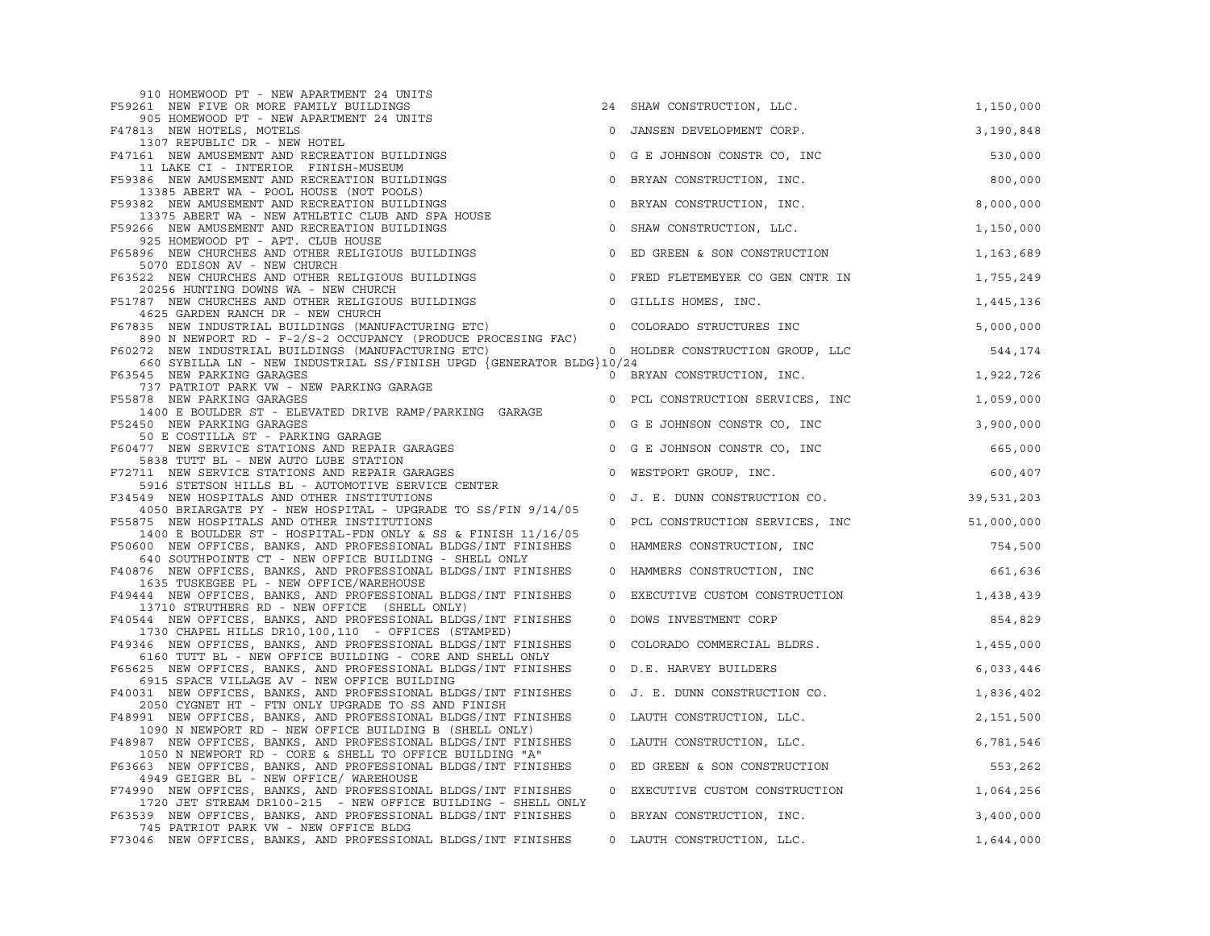| 910 HOMEWOOD PT - NEW APARTMENT 24 UNITS                                                                                       |             |                                  |            |
|--------------------------------------------------------------------------------------------------------------------------------|-------------|----------------------------------|------------|
| F59261 NEW FIVE OR MORE FAMILY BUILDINGS                                                                                       |             | 24 SHAW CONSTRUCTION, LLC.       | 1,150,000  |
| 905 HOMEWOOD PT - NEW APARTMENT 24 UNITS<br>F47813 NEW HOTELS, MOTELS                                                          | $\Omega$    | JANSEN DEVELOPMENT CORP.         | 3,190,848  |
| 1307 REPUBLIC DR - NEW HOTEL<br>F47161 NEW AMUSEMENT AND RECREATION BUILDINGS                                                  | $\circ$     | G E JOHNSON CONSTR CO, INC       | 530,000    |
| 11 LAKE CI - INTERIOR FINISH-MUSEUM                                                                                            |             |                                  |            |
| F59386 NEW AMUSEMENT AND RECREATION BUILDINGS<br>13385 ABERT WA - POOL HOUSE (NOT POOLS)                                       | $\circ$     | BRYAN CONSTRUCTION, INC.         | 800,000    |
| F59382 NEW AMUSEMENT AND RECREATION BUILDINGS<br>13375 ABERT WA - NEW ATHLETIC CLUB AND SPA HOUSE                              | $\mathbf 0$ | BRYAN CONSTRUCTION, INC.         | 8,000,000  |
| F59266 NEW AMUSEMENT AND RECREATION BUILDINGS                                                                                  | $\circ$     | SHAW CONSTRUCTION, LLC.          | 1,150,000  |
| 925 HOMEWOOD PT - APT. CLUB HOUSE<br>F65896 NEW CHURCHES AND OTHER RELIGIOUS BUILDINGS                                         | $\circ$     | ED GREEN & SON CONSTRUCTION      | 1,163,689  |
| 5070 EDISON AV - NEW CHURCH<br>F63522 NEW CHURCHES AND OTHER RELIGIOUS BUILDINGS                                               | $\circ$     | FRED FLETEMEYER CO GEN CNTR IN   | 1,755,249  |
| 20256 HUNTING DOWNS WA - NEW CHURCH                                                                                            |             |                                  |            |
| F51787 NEW CHURCHES AND OTHER RELIGIOUS BUILDINGS<br>4625 GARDEN RANCH DR - NEW CHURCH                                         | $\mathbf 0$ | GILLIS HOMES, INC.               | 1,445,136  |
| F67835 NEW INDUSTRIAL BUILDINGS (MANUFACTURING ETC)                                                                            |             | 0 COLORADO STRUCTURES INC        | 5,000,000  |
| 890 N NEWPORT RD - F-2/S-2 OCCUPANCY (PRODUCE PROCESING FAC)<br>F60272 NEW INDUSTRIAL BUILDINGS (MANUFACTURING ETC)            |             | 0 HOLDER CONSTRUCTION GROUP, LLC | 544,174    |
| 660 SYBILLA LN - NEW INDUSTRIAL SS/FINISH UPGD {GENERATOR BLDG}10/24                                                           |             |                                  |            |
| F63545 NEW PARKING GARAGES<br>737 PATRIOT PARK VW - NEW PARKING GARAGE                                                         |             | 0 BRYAN CONSTRUCTION, INC.       | 1,922,726  |
| F55878 NEW PARKING GARAGES                                                                                                     | $\circ$     | PCL CONSTRUCTION SERVICES, INC   | 1,059,000  |
| 1400 E BOULDER ST - ELEVATED DRIVE RAMP/PARKING GARAGE<br>F52450 NEW PARKING GARAGES                                           |             | 0 G E JOHNSON CONSTR CO, INC     | 3,900,000  |
| 50 E COSTILLA ST - PARKING GARAGE<br>F60477 NEW SERVICE STATIONS AND REPAIR GARAGES                                            |             | 0 G E JOHNSON CONSTR CO, INC     | 665,000    |
| 5838 TUTT BL - NEW AUTO LUBE STATION                                                                                           |             |                                  |            |
| F72711 NEW SERVICE STATIONS AND REPAIR GARAGES<br>5916 STETSON HILLS BL - AUTOMOTIVE SERVICE CENTER                            |             | 0 WESTPORT GROUP, INC.           | 600,407    |
| F34549 NEW HOSPITALS AND OTHER INSTITUTIONS                                                                                    | $\circ$     | J. E. DUNN CONSTRUCTION CO.      | 39,531,203 |
| 4050 BRIARGATE PY - NEW HOSPITAL - UPGRADE TO SS/FIN 9/14/05<br>F55875 NEW HOSPITALS AND OTHER INSTITUTIONS                    | $\circ$     | PCL CONSTRUCTION SERVICES, INC   | 51,000,000 |
| 1400 E BOULDER ST - HOSPITAL-FDN ONLY & SS & FINISH 11/16/05<br>F50600 NEW OFFICES, BANKS, AND PROFESSIONAL BLDGS/INT FINISHES |             | 0 HAMMERS CONSTRUCTION, INC      | 754,500    |
| 640 SOUTHPOINTE CT - NEW OFFICE BUILDING - SHELL ONLY                                                                          |             |                                  |            |
| F40876 NEW OFFICES, BANKS, AND PROFESSIONAL BLDGS/INT FINISHES<br>1635 TUSKEGEE PL - NEW OFFICE/WAREHOUSE                      |             | 0 HAMMERS CONSTRUCTION, INC      | 661,636    |
| F49444 NEW OFFICES, BANKS, AND PROFESSIONAL BLDGS/INT FINISHES<br>13710 STRUTHERS RD - NEW OFFICE (SHELL ONLY)                 |             | 0 EXECUTIVE CUSTOM CONSTRUCTION  | 1,438,439  |
| F40544 NEW OFFICES, BANKS, AND PROFESSIONAL BLDGS/INT FINISHES<br>1730 CHAPEL HILLS DR10,100,110 - OFFICES (STAMPED)           | $\circ$     | DOWS INVESTMENT CORP             | 854,829    |
| F49346 NEW OFFICES, BANKS, AND PROFESSIONAL BLDGS/INT FINISHES                                                                 | $\circ$     | COLORADO COMMERCIAL BLDRS.       | 1,455,000  |
| 6160 TUTT BL - NEW OFFICE BUILDING - CORE AND SHELL ONLY<br>F65625 NEW OFFICES, BANKS, AND PROFESSIONAL BLDGS/INT FINISHES     |             | 0 D.E. HARVEY BUILDERS           | 6,033,446  |
| 6915 SPACE VILLAGE AV - NEW OFFICE BUILDING<br>F40031 NEW OFFICES, BANKS, AND PROFESSIONAL BLDGS/INT FINISHES                  |             | 0 J. E. DUNN CONSTRUCTION CO.    | 1,836,402  |
| 2050 CYGNET HT - FTN ONLY UPGRADE TO SS AND FINISH                                                                             |             |                                  |            |
| F48991 NEW OFFICES, BANKS, AND PROFESSIONAL BLDGS/INT FINISHES<br>1090 N NEWPORT RD - NEW OFFICE BUILDING B (SHELL ONLY)       |             | 0 LAUTH CONSTRUCTION, LLC.       | 2,151,500  |
| F48987 NEW OFFICES, BANKS, AND PROFESSIONAL BLDGS/INT FINISHES                                                                 | $\circ$     | LAUTH CONSTRUCTION, LLC.         | 6,781,546  |
| 1050 N NEWPORT RD - CORE & SHELL TO OFFICE BUILDING "A"<br>F63663 NEW OFFICES, BANKS, AND PROFESSIONAL BLDGS/INT FINISHES      | $\circ$     | ED GREEN & SON CONSTRUCTION      | 553,262    |
| 4949 GEIGER BL - NEW OFFICE/ WAREHOUSE                                                                                         |             | 0 EXECUTIVE CUSTOM CONSTRUCTION  |            |
| F74990 NEW OFFICES, BANKS, AND PROFESSIONAL BLDGS/INT FINISHES<br>1720 JET STREAM DR100-215 - NEW OFFICE BUILDING - SHELL ONLY |             |                                  | 1,064,256  |
| F63539 NEW OFFICES, BANKS, AND PROFESSIONAL BLDGS/INT FINISHES<br>745 PATRIOT PARK VW - NEW OFFICE BLDG                        |             | 0 BRYAN CONSTRUCTION, INC.       | 3,400,000  |
| F73046 NEW OFFICES, BANKS, AND PROFESSIONAL BLDGS/INT FINISHES                                                                 |             | 0 LAUTH CONSTRUCTION, LLC.       | 1,644,000  |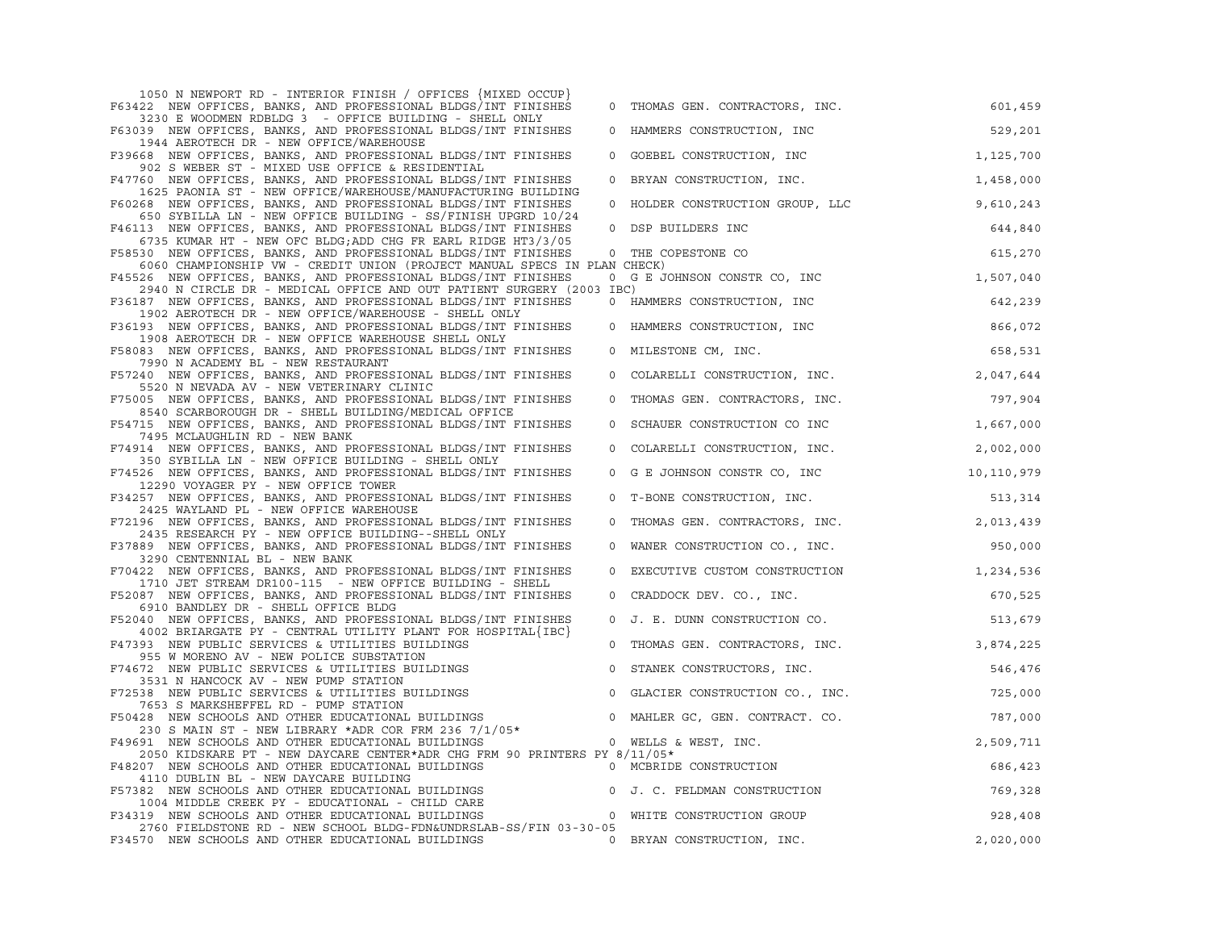| 1050 N NEWPORT RD - INTERIOR FINISH / OFFICES {MIXED OCCUP}<br>F63422 NEW OFFICES, BANKS, AND PROFESSIONAL BLDGS/INT FINISHES                                                         |             | 0 THOMAS GEN. CONTRACTORS, INC.           | 601,459   |
|---------------------------------------------------------------------------------------------------------------------------------------------------------------------------------------|-------------|-------------------------------------------|-----------|
| 3230 E WOODMEN RDBLDG 3 - OFFICE BUILDING - SHELL ONLY<br>F63039 NEW OFFICES, BANKS, AND PROFESSIONAL BLDGS/INT FINISHES                                                              | $\circ$     | HAMMERS CONSTRUCTION, INC                 | 529,201   |
| 1944 AEROTECH DR - NEW OFFICE/WAREHOUSE<br>F39668 NEW OFFICES, BANKS, AND PROFESSIONAL BLDGS/INT FINISHES                                                                             | $\mathbf 0$ | GOEBEL CONSTRUCTION, INC                  | 1,125,700 |
| 902 S WEBER ST - MIXED USE OFFICE & RESIDENTIAL<br>F47760 NEW OFFICES, BANKS, AND PROFESSIONAL BLDGS/INT FINISHES                                                                     | $\circ$     | BRYAN CONSTRUCTION, INC.                  | 1,458,000 |
| 1625 PAONIA ST - NEW OFFICE/WAREHOUSE/MANUFACTURING BUILDING<br>F60268 NEW OFFICES, BANKS, AND PROFESSIONAL BLDGS/INT FINISHES                                                        | $\circ$     | HOLDER CONSTRUCTION GROUP, LLC            | 9,610,243 |
| 650 SYBILLA LN - NEW OFFICE BUILDING - SS/FINISH UPGRD 10/24                                                                                                                          |             |                                           |           |
| F46113 NEW OFFICES, BANKS, AND PROFESSIONAL BLDGS/INT FINISHES<br>6735 KUMAR HT - NEW OFC BLDG; ADD CHG FR EARL RIDGE HT3/3/05                                                        |             | 0 DSP BUILDERS INC                        | 644,840   |
| F58530 NEW OFFICES, BANKS, AND PROFESSIONAL BLDGS/INT FINISHES<br>6060 CHAMPIONSHIP VW - CREDIT UNION (PROJECT MANUAL SPECS IN PLAN CHECK)                                            |             | 0 THE COPESTONE CO                        | 615,270   |
| F45526 NEW OFFICES, BANKS, AND PROFESSIONAL BLDGS/INT FINISHES<br>2940 N CIRCLE DR - MEDICAL OFFICE AND OUT PATIENT SURGERY (2003 IBC)                                                |             | 0 G E JOHNSON CONSTR CO, INC              | 1,507,040 |
| F36187 NEW OFFICES, BANKS, AND PROFESSIONAL BLDGS/INT FINISHES                                                                                                                        |             | 0 HAMMERS CONSTRUCTION, INC               | 642,239   |
| 1902 AEROTECH DR - NEW OFFICE/WAREHOUSE - SHELL ONLY<br>F36193 NEW OFFICES, BANKS, AND PROFESSIONAL BLDGS/INT FINISHES                                                                |             | 0 HAMMERS CONSTRUCTION, INC               | 866,072   |
| 1908 AEROTECH DR - NEW OFFICE WAREHOUSE SHELL ONLY<br>F58083 NEW OFFICES, BANKS, AND PROFESSIONAL BLDGS/INT FINISHES                                                                  |             | 0 MILESTONE CM, INC.                      | 658,531   |
| 7990 N ACADEMY BL - NEW RESTAURANT                                                                                                                                                    |             |                                           |           |
| F57240 NEW OFFICES, BANKS, AND PROFESSIONAL BLDGS/INT FINISHES<br>5520 N NEVADA AV - NEW VETERINARY CLINIC                                                                            | $\circ$     | COLARELLI CONSTRUCTION, INC.              | 2,047,644 |
| F75005 NEW OFFICES, BANKS, AND PROFESSIONAL BLDGS/INT FINISHES<br>8540 SCARBOROUGH DR - SHELL BUILDING/MEDICAL OFFICE                                                                 | $\circ$     | THOMAS GEN. CONTRACTORS, INC.             | 797,904   |
| F54715 NEW OFFICES, BANKS, AND PROFESSIONAL BLDGS/INT FINISHES                                                                                                                        | $\circ$     | SCHAUER CONSTRUCTION CO INC               | 1,667,000 |
| 7495 MCLAUGHLIN RD - NEW BANK<br>F74914 NEW OFFICES, BANKS, AND PROFESSIONAL BLDGS/INT FINISHES                                                                                       |             | 0 COLARELLI CONSTRUCTION, INC.            | 2,002,000 |
| 350 SYBILLA LN - NEW OFFICE BUILDING - SHELL ONLY<br>F74526 NEW OFFICES, BANKS, AND PROFESSIONAL BLDGS/INT FINISHES                                                                   |             | 0 G E JOHNSON CONSTR CO, INC 10, 110, 979 |           |
| 12290 VOYAGER PY - NEW OFFICE TOWER                                                                                                                                                   |             |                                           |           |
| F34257 NEW OFFICES, BANKS, AND PROFESSIONAL BLDGS/INT FINISHES<br>2425 WAYLAND PL - NEW OFFICE WAREHOUSE                                                                              | $\circ$     | T-BONE CONSTRUCTION, INC.                 | 513,314   |
| F72196 NEW OFFICES, BANKS, AND PROFESSIONAL BLDGS/INT FINISHES<br>2435 RESEARCH PY - NEW OFFICE BUILDING--SHELL ONLY                                                                  | $\circ$     | THOMAS GEN. CONTRACTORS, INC. 2, 013, 439 |           |
| F37889 NEW OFFICES, BANKS, AND PROFESSIONAL BLDGS/INT FINISHES<br>3290 CENTENNIAL BL - NEW BANK                                                                                       | $\circ$     | WANER CONSTRUCTION CO., INC.              | 950,000   |
| F70422 NEW OFFICES, BANKS, AND PROFESSIONAL BLDGS/INT FINISHES                                                                                                                        | $\circ$     | EXECUTIVE CUSTOM CONSTRUCTION             | 1,234,536 |
| 1710 JET STREAM DR100-115 - NEW OFFICE BUILDING - SHELL<br>F52087 NEW OFFICES, BANKS, AND PROFESSIONAL BLDGS/INT FINISHES                                                             | $\circ$     | CRADDOCK DEV. CO., INC.                   | 670,525   |
| 6910 BANDLEY DR - SHELL OFFICE BLDG<br>F52040 NEW OFFICES, BANKS, AND PROFESSIONAL BLDGS/INT FINISHES                                                                                 | $\circ$     | J. E. DUNN CONSTRUCTION CO.               | 513,679   |
| 4002 BRIARGATE PY - CENTRAL UTILITY PLANT FOR HOSPITAL{IBC}<br>F47393 NEW PUBLIC SERVICES & UTILITIES BUILDINGS                                                                       | $\circ$     | THOMAS GEN. CONTRACTORS, INC. 3,874,225   |           |
| 955 W MORENO AV - NEW POLICE SUBSTATION                                                                                                                                               |             |                                           |           |
| F74672 NEW PUBLIC SERVICES & UTILITIES BUILDINGS<br>3531 N HANCOCK AV - NEW PUMP STATION                                                                                              | $\circ$     | STANEK CONSTRUCTORS, INC.                 | 546,476   |
| F72538 NEW PUBLIC SERVICES & UTILITIES BUILDINGS<br>7653 S MARKSHEFFEL RD - PUMP STATION                                                                                              | $\mathbb O$ | GLACIER CONSTRUCTION CO., INC.            | 725,000   |
| F50428 NEW SCHOOLS AND OTHER EDUCATIONAL BUILDINGS<br>230 S MAIN ST - NEW LIBRARY *ADR COR FRM 236 7/1/05*<br>F49691_NEW SCHOOLS AND OTHER EDUCATIONAL BUILDINGS 0 WELLS & WEST, INC. |             |                                           | 787,000   |
|                                                                                                                                                                                       |             |                                           | 2,509,711 |
| 2050 KIDSKARE PT - NEW DAYCARE CENTER*ADR CHG FRM 90 PRINTERS PY 8/11/05*<br>F48207 NEW SCHOOLS AND OTHER EDUCATIONAL BUILDINGS OF THE ONE ON MCBRIDE CONSTRUCTION                    |             |                                           | 686,423   |
| 4110 DUBLIN BL - NEW DAYCARE BUILDING                                                                                                                                                 |             |                                           |           |
| F57382 NEW SCHOOLS AND OTHER EDUCATIONAL BUILDINGS<br>1004 MIDDLE CREEK PY - EDUCATIONAL - CHILD CARE                                                                                 |             | 0 J. C. FELDMAN CONSTRUCTION              | 769,328   |
| F34319 NEW SCHOOLS AND OTHER EDUCATIONAL BUILDINGS<br>2760 FIELDSTONE RD - NEW SCHOOL BLDG-FDN&UNDRSLAB-SS/FIN 03-30-05                                                               |             | 0 WHITE CONSTRUCTION GROUP                | 928,408   |
| F34570 NEW SCHOOLS AND OTHER EDUCATIONAL BUILDINGS                                                                                                                                    |             | 0 BRYAN CONSTRUCTION, INC.                | 2,020,000 |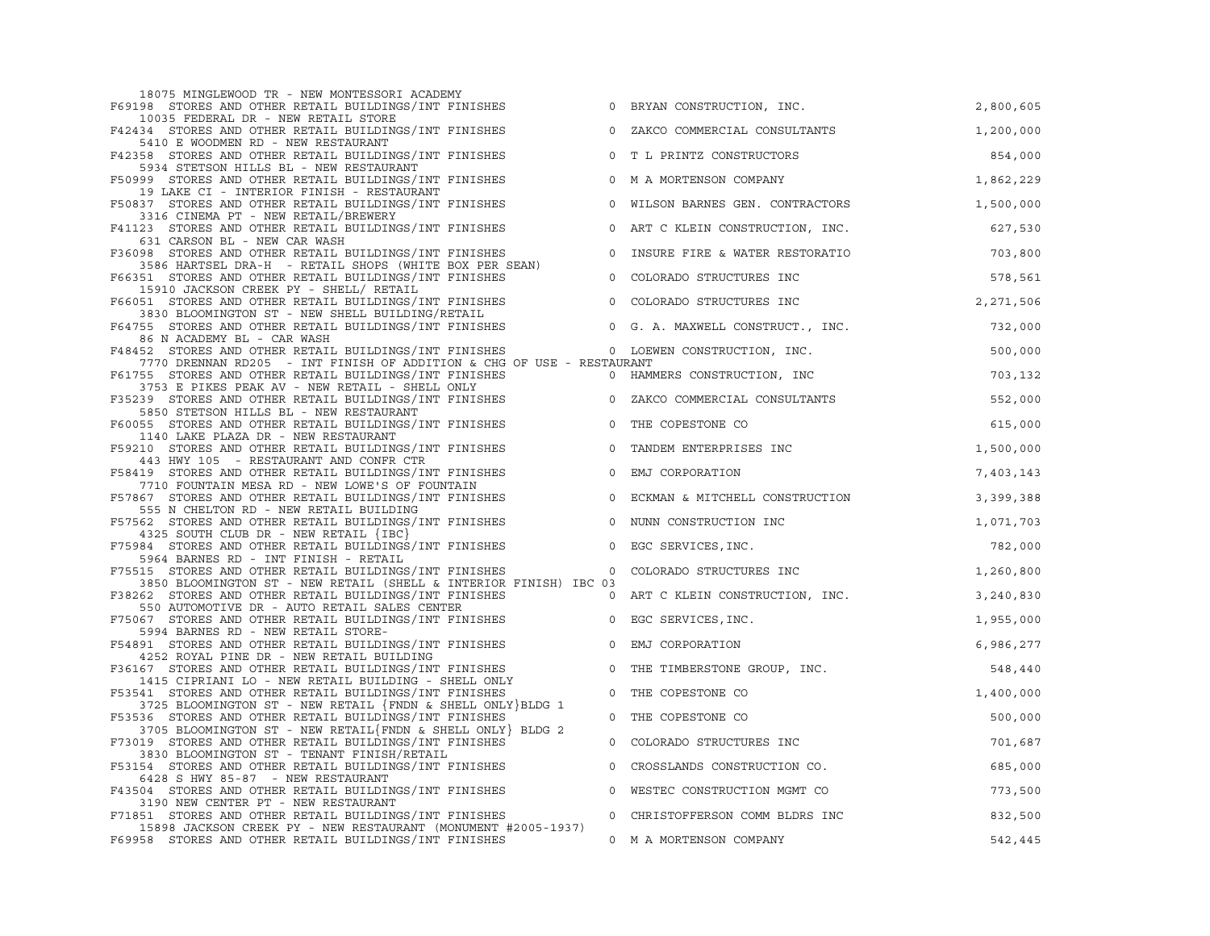| 18075 MINGLEWOOD TR - NEW MONTESSORI ACADEMY                                                                                                                                                                                            |                |                                            |           |
|-----------------------------------------------------------------------------------------------------------------------------------------------------------------------------------------------------------------------------------------|----------------|--------------------------------------------|-----------|
| F69198 STORES AND OTHER RETAIL BUILDINGS/INT FINISHES                                                                                                                                                                                   |                | 0 BRYAN CONSTRUCTION, INC.                 | 2,800,605 |
| 10035 FEDERAL DR - NEW RETAIL STORE<br>F42434 STORES AND OTHER RETAIL BUILDINGS/INT FINISHES                                                                                                                                            |                | 0 ZAKCO COMMERCIAL CONSULTANTS             | 1,200,000 |
| 5410 E WOODMEN RD - NEW RESTAURANT<br>F42358 STORES AND OTHER RETAIL BUILDINGS/INT FINISHES                                                                                                                                             |                | 0 T L PRINTZ CONSTRUCTORS                  | 854,000   |
| 5934 STETSON HILLS BL - NEW RESTAURANT<br>F50999 STORES AND OTHER RETAIL BUILDINGS/INT FINISHES                                                                                                                                         | $\circ$        | M A MORTENSON COMPANY                      | 1,862,229 |
| 19 LAKE CI - INTERIOR FINISH - RESTAURANT<br>F50837 STORES AND OTHER RETAIL BUILDINGS/INT FINISHES                                                                                                                                      |                | 0 WILSON BARNES GEN. CONTRACTORS 1,500,000 |           |
| 3316 CINEMA PT - NEW RETAIL/BREWERY<br>F41123 STORES AND OTHER RETAIL BUILDINGS/INT FINISHES                                                                                                                                            |                | 0 ART C KLEIN CONSTRUCTION, INC.           | 627,530   |
| 631 CARSON BL - NEW CAR WASH<br>F36098 STORES AND OTHER RETAIL BUILDINGS/INT FINISHES                                                                                                                                                   |                | 0 INSURE FIRE & WATER RESTORATIO           | 703,800   |
| 631 CARSON DE - NEW CAR WASH<br>1988 STORES AND OTHER RETAIL BUILDINGS/INT FINISHES<br>3586 HARTSEL DRA-H - RETAIL SHOPS (WHITE BOX PER SEAN)<br>351 STORES AND OTHER RETAIL BUILDINGS/INT FINISHES                   0 COLORADO STRUCT |                |                                            |           |
| F66351 STORES AND OTHER RETAIL BUILDINGS/INT FINISHES                                                                                                                                                                                   |                |                                            | 578,561   |
| 15910 JACKSON CREEK PY - SHELL/ RETAIL                                                                                                                                                                                                  |                | 0 COLORADO STRUCTURES INC                  | 2,271,506 |
| F66051 STORES AND OTHER RETAIL BUILDINGS/INT FINISHES<br>3830 BLOOMINGTON ST - NEW SHELL BUILDING/RETAIL<br>3830 BLOOMINGTON ST - NEW SHELL BUILDING/RETAIL                                                                             |                |                                            |           |
| F64755 STORES AND OTHER RETAIL BUILDINGS/INT FINISHES 0 G. A. MAXWELL CONSTRUCT., INC.                                                                                                                                                  |                |                                            | 732,000   |
| 86 N ACADEMY BL - CAR WASH<br>F48452 STORES AND OTHER RETAIL BUILDINGS/INT FINISHES 0 LOEWEN CONSTRUCTION, INC.                                                                                                                         |                |                                            | 500,000   |
| 7770 DRENNAN RD205 - INT FINISH OF ADDITION & CHG OF USE - RESTAURANT                                                                                                                                                                   |                |                                            |           |
| F61755 STORES AND OTHER RETAIL BUILDINGS/INT FINISHES                                                                                                                                                                                   |                | 0 HAMMERS CONSTRUCTION, INC                | 703,132   |
| 3753 E PIKES PEAK AV - NEW RETAIL - SHELL ONLY<br>$\overline{0}$<br>F35239 STORES AND OTHER RETAIL BUILDINGS/INT FINISHES                                                                                                               |                | ZAKCO COMMERCIAL CONSULTANTS               | 552,000   |
| 5850 STETSON HILLS BL - NEW RESTAURANT                                                                                                                                                                                                  |                |                                            |           |
| F60055 STORES AND OTHER RETAIL BUILDINGS/INT FINISHES                                                                                                                                                                                   | $\circ$        | THE COPESTONE CO                           | 615,000   |
| 1140 LAKE PLAZA DR - NEW RESTAURANT<br>F59210 STORES AND OTHER RETAIL BUILDINGS/INT FINISHES                                                                                                                                            |                | 0 TANDEM ENTERPRISES INC                   | 1,500,000 |
| 443 HWY 105 - RESTAURANT AND CONFR CTR<br>F58419 STORES AND OTHER RETAIL BUILDINGS/INT FINISHES                                                                                                                                         |                | 0 EMJ CORPORATION                          | 7,403,143 |
| 7710 FOUNTAIN MESA RD - NEW LOWE'S OF FOUNTAIN<br>F57867 STORES AND OTHER RETAIL BUILDINGS/INT FINISHES                                                                                                                                 |                | 0 ECKMAN & MITCHELL CONSTRUCTION           | 3,399,388 |
| 555 N CHELTON RD - NEW RETAIL BUILDING<br>F57562 STORES AND OTHER RETAIL BUILDINGS/INT FINISHES                                                                                                                                         | $\circ$        | NUNN CONSTRUCTION INC                      | 1,071,703 |
| 4325 SOUTH CLUB DR - NEW RETAIL {IBC}                                                                                                                                                                                                   |                |                                            |           |
| F75984 STORES AND OTHER RETAIL BUILDINGS/INT FINISHES<br>5964 BARNES RD - INT FINISH - RETAIL                                                                                                                                           | $\circ$        | EGC SERVICES, INC.                         | 782,000   |
| F75515 STORES AND OTHER RETAIL BUILDINGS/INT FINISHES<br>3850 BLOOMINGTON ST - NEW RETAIL (SHELL & INTERIOR FINISH) IBC 03                                                                                                              | $\overline{0}$ | COLORADO STRUCTURES INC                    | 1,260,800 |
| F38262 STORES AND OTHER RETAIL BUILDINGS/INT FINISHES 60 ART C KLEIN CONSTRUCTION, INC.<br>550 AUTOMOTIVE DR - AUTO RETAIL SALES CENTER                                                                                                 |                |                                            | 3,240,830 |
| F75067 STORES AND OTHER RETAIL BUILDINGS/INT FINISHES 0 EGC SERVICES, INC.<br>5994 BARNES RD - NEW RETAIL STORE-                                                                                                                        |                |                                            | 1,955,000 |
| F54891 STORES AND OTHER RETAIL BUILDINGS/INT FINISHES<br>4252 ROYAL PINE DR - NEW RETAIL BUILDING                                                                                                                                       |                | 0 EMJ CORPORATION                          | 6,986,277 |
| F36167 STORES AND OTHER RETAIL BUILDINGS/INT FINISHES                                                                                                                                                                                   | $\circ$        | THE TIMBERSTONE GROUP, INC.                | 548,440   |
| 1415 CIPRIANI LO - NEW RETAIL BUILDING - SHELL ONLY<br>F53541 STORES AND OTHER RETAIL BUILDINGS/INT FINISHES                                                                                                                            | $\circ$        | THE COPESTONE CO                           | 1,400,000 |
| 3725 BLOOMINGTON ST - NEW RETAIL $\{FNDN \& SHELL \text{ONLY}}\$ BLDG 1<br>F53536 STORES AND OTHER RETAIL BUILDINGS/INT FINISHES                                                                                                        | $\overline{0}$ | THE COPESTONE CO                           | 500,000   |
| 3705 BLOOMINGTON ST - NEW RETAIL{FNDN & SHELL ONLY} BLDG 2<br>F73019 STORES AND OTHER RETAIL BUILDINGS/INT FINISHES                                                                                                                     | $\circ$        | COLORADO STRUCTURES INC                    | 701,687   |
| 3830 BLOOMINGTON ST - TENANT FINISH/RETAIL                                                                                                                                                                                              |                |                                            |           |
| F53154 STORES AND OTHER RETAIL BUILDINGS/INT FINISHES<br>6428 S HWY 85-87 - NEW RESTAURANT                                                                                                                                              | $\circ$        | CROSSLANDS CONSTRUCTION CO.                | 685,000   |
| F43504 STORES AND OTHER RETAIL BUILDINGS/INT FINISHES                                                                                                                                                                                   | $\overline{0}$ | WESTEC CONSTRUCTION MGMT CO                | 773,500   |
| 3190 NEW CENTER PT - NEW RESTAURANT                                                                                                                                                                                                     |                |                                            |           |
| F71851 STORES AND OTHER RETAIL BUILDINGS/INT FINISHES<br>15898 JACKSON CREEK PY - NEW RESTAURANT (MONUMENT #2005-1937)                                                                                                                  |                | 0 CHRISTOFFERSON COMM BLDRS INC            | 832,500   |
| F69958 STORES AND OTHER RETAIL BUILDINGS/INT FINISHES                                                                                                                                                                                   |                | 0 M A MORTENSON COMPANY                    | 542,445   |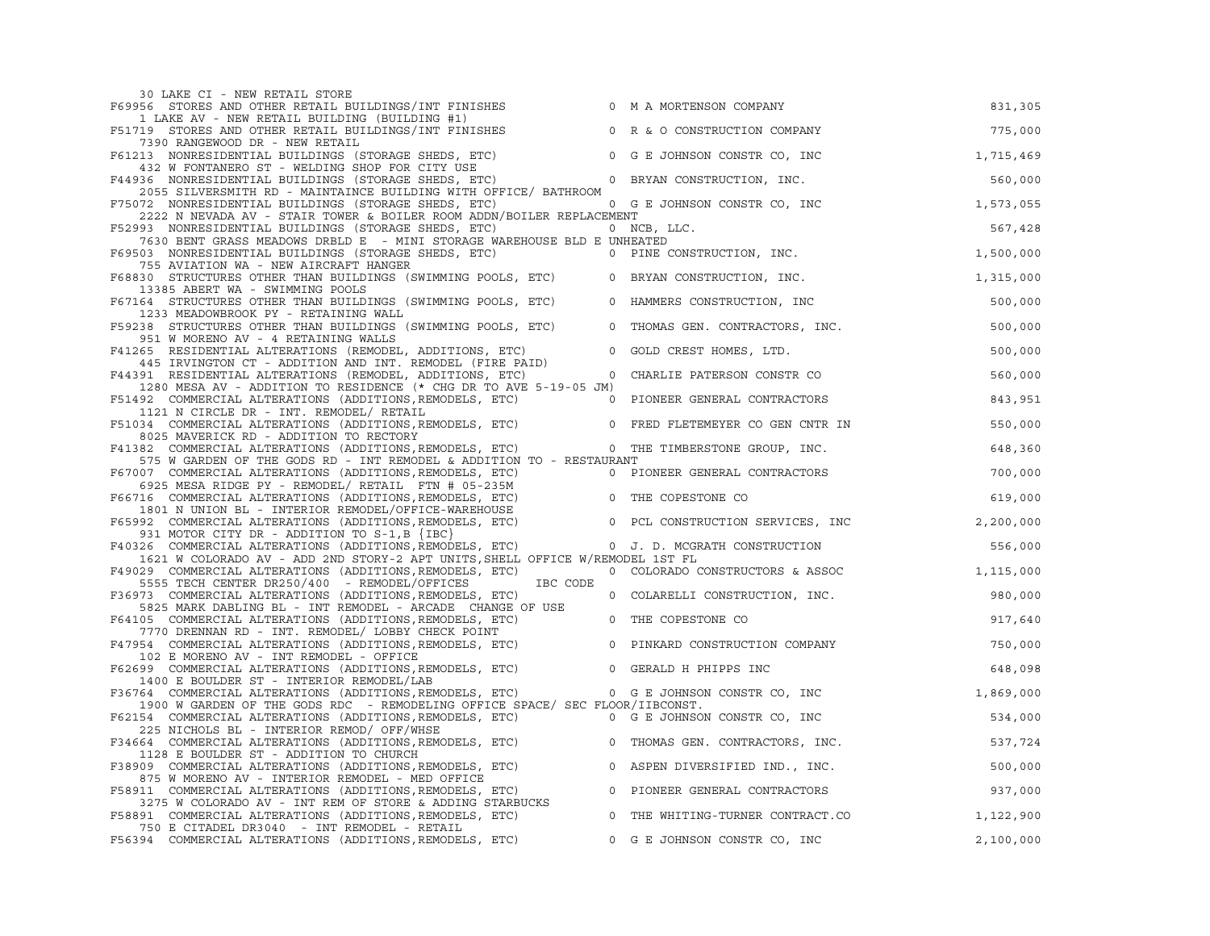| 30 LAKE CI - NEW RETAIL STORE                                                                                                                                                                                                                                                                    |                                                         |           |
|--------------------------------------------------------------------------------------------------------------------------------------------------------------------------------------------------------------------------------------------------------------------------------------------------|---------------------------------------------------------|-----------|
| F69956 STORES AND OTHER RETAIL BUILDINGS/INT FINISHES                                                                                                                                                                                                                                            |                                                         | 831,305   |
| 1 LAKE AV - NEW RETAIL BUILDING (BUILDING #1)<br>F51719 STORES AND OTHER RETAIL BUILDINGS/INT FINISHES                                                                                                                                                                                           | 0 M A MORTENSON COMPANY<br>0 R & O CONSTRUCTION COMPANY | 775,000   |
| 7390 RANGEWOOD DR - NEW RETAIL<br>F61213 NONRESIDENTIAL BUILDINGS (STORAGE SHEDS, ETC) $\qquad \qquad$ 0 G E JOHNSON CONSTR CO, INC                                                                                                                                                              |                                                         | 1,715,469 |
| 432 W FONTANERO ST - WELDING SHOP FOR CITY USE<br>432 W PUNIAWERO SI - WELLING SHOP FOR CITI USE<br>F44936 NONRESIDENTIAL BUILDINGS (STORAGE SHEDS, ETC) 0 BRYAN CONSTRUCTION, INC.                                                                                                              |                                                         |           |
| 2055 SILVERSMITH RD - MAINTAINCE BUILDING WITH OFFICE/ BATHROOM                                                                                                                                                                                                                                  |                                                         | 560,000   |
| F75072 NONRESIDENTIAL BUILDINGS (STORAGE SHEDS, ETC)                                                                                                                                                                                                                                             | 0 G E JOHNSON CONSTR CO, INC                            | 1,573,055 |
| 2222 N NEVADA AV - STAIR TOWER & BOILER ROOM ADDN/BOILER REPLACEMENT<br>F52993 NONRESIDENTIAL BUILDINGS (STORAGE SHEDS, ETC) 0 NCB, LLC.                                                                                                                                                         |                                                         | 567,428   |
| 7630 BENT GRASS MEADOWS DRBLD E - MINI STORAGE WAREHOUSE BLD E UNHEATED                                                                                                                                                                                                                          |                                                         |           |
| F69503 NONRESIDENTIAL BUILDINGS (STORAGE SHEDS, ETC) 0 PINE CONSTRUCTION, INC.<br>755 AVIATION WA - NEW AIRCRAFT HANGER                                                                                                                                                                          |                                                         | 1,500,000 |
| F68830 STRUCTURES OTHER THAN BUILDINGS (SWIMMING POOLS, ETC) 0 BRYAN CONSTRUCTION, INC.                                                                                                                                                                                                          |                                                         | 1,315,000 |
| 13385 ABERT WA - SWIMMING POOLS                                                                                                                                                                                                                                                                  |                                                         |           |
| F67164 STRUCTURES OTHER THAN BUILDINGS (SWIMMING POOLS, ETC) 0 HAMMERS CONSTRUCTION, INC<br>1233 MEADOWBROOK PY - RETAINING WALL                                                                                                                                                                 |                                                         | 500,000   |
| F59238 STRUCTURES OTHER THAN BUILDINGS (SWIMMING POOLS, ETC) 0 THOMAS GEN. CONTRACTORS, INC.                                                                                                                                                                                                     |                                                         | 500,000   |
| 951 W MORENO AV - 4 RETAINING WALLS                                                                                                                                                                                                                                                              |                                                         |           |
| F41265 RESIDENTIAL ALTERATIONS (REMODEL, ADDITIONS, ETC) 0 GOLD CREST HOMES, LTD.<br>445 IRVINGTON CT - ADDITION AND INT. REMODEL (FIRE PAID)<br>F44391 RESIDENTIAL ALTERATIONS (REMODEL, ADDITIONS, ETC) 0 CHARLIE PATERSON CONSTR                                                              |                                                         | 500,000   |
|                                                                                                                                                                                                                                                                                                  |                                                         | 560,000   |
| 1280 MESA AV - ADDITION TO RESIDENCE (* CHG DR TO AVE 5-19-05 JM)<br>F51492 COMMERCIAL ALTERATIONS (ADDITIONS, REMODELS, ETC) 0 PIONEER GENERAL CONTRACTORS                                                                                                                                      |                                                         | 843,951   |
| 1121 N CIRCLE DR - INT. REMODEL/ RETAIL                                                                                                                                                                                                                                                          |                                                         |           |
| F51034 COMMERCIAL ALTERATIONS (ADDITIONS, REMODELS, ETC) 0 FRED FLETEMEYER CO GEN CNTR IN<br>8025 MAVERICK RD - ADDITION TO RECTORY                                                                                                                                                              |                                                         | 550,000   |
| F41382 COMMERCIAL ALTERATIONS (ADDITIONS, REMODELS, ETC) 0 THE TIMBERSTONE GROUP, INC.                                                                                                                                                                                                           |                                                         | 648,360   |
| 575 W GARDEN OF THE GODS RD - INT REMODEL & ADDITION TO - RESTAURANT<br>F67007 COMMERCIAL ALTERATIONS (ADDITIONS, REMODELS, ETC) 0 PIONEER GENERAL CONTRACTORS                                                                                                                                   |                                                         | 700,000   |
| 6925 MESA RIDGE PY - REMODEL/ RETAIL FTN # 05-235M                                                                                                                                                                                                                                               |                                                         |           |
| F66716 COMMERCIAL ALTERATIONS (ADDITIONS, REMODELS, ETC)<br>1801 N UNION BL - INTERIOR REMODEL/OFFICE-WAREHOUSE                                                                                                                                                                                  | 0 THE COPESTONE CO                                      | 619,000   |
| F65992 COMMERCIAL ALTERATIONS (ADDITIONS, REMODELS, ETC)                                                                                                                                                                                                                                         | 0 PCL CONSTRUCTION SERVICES, INC                        | 2,200,000 |
| 931 MOTOR CITY DR - ADDITION TO S-1, B {IBC}<br>F40326 COMMERCIAL ALTERATIONS (ADDITIONS, REMODELS, ETC)                                                                                                                                                                                         | 0 J. D. MCGRATH CONSTRUCTION                            | 556,000   |
| 1621 W COLORADO AV - ADD 2ND STORY-2 APT UNITS, SHELL OFFICE W/REMODEL 1ST FL                                                                                                                                                                                                                    |                                                         |           |
| F49029 COMMERCIAL ALTERATIONS (ADDITIONS, REMODELS, ETC) 0 COLORADO CONSTRUCTORS & ASSOC 1,115,000<br>5555 TECH CENTER DR250/400 - REMODEL/OFFICES<br>IBC CODE                                                                                                                                   |                                                         |           |
| F36973 COMMERCIAL ALTERATIONS (ADDITIONS, REMODELS, ETC) 0 COLARELLI CONSTRUCTION, INC.                                                                                                                                                                                                          |                                                         | 980,000   |
| 5825 MARK DABLING BL - INT REMODEL - ARCADE CHANGE OF USE                                                                                                                                                                                                                                        |                                                         |           |
| F64105 COMMERCIAL ALTERATIONS (ADDITIONS, REMODELS, ETC)<br>7770 DRENNAN RD - INT. REMODEL/ LOBBY CHECK POINT                                                                                                                                                                                    | 0 THE COPESTONE CO                                      | 917,640   |
| F47954 COMMERCIAL ALTERATIONS (ADDITIONS, REMODELS, ETC)                                                                                                                                                                                                                                         | 0 PINKARD CONSTRUCTION COMPANY                          | 750,000   |
| 102 E MORENO AV - INT REMODEL - OFFICE<br>F62699 COMMERCIAL ALTERATIONS (ADDITIONS, REMODELS, ETC) 0 GERALD H PHIPPS INC                                                                                                                                                                         |                                                         | 648,098   |
| 1400 E BOULDER ST - INTERIOR REMODEL/LAB<br>1400 E BOULDER ST - INTERIOR REMODELL/LAB<br>F36764 COMMERCIAL ALTERATIONS (ADDITIONS, REMODELS, ETC) 0 G E JOHNSON CONSTR CO, INC                                                                                                                   |                                                         |           |
| 1900 W GARDEN OF THE GODS RDC - REMODELING OFFICE SPACE/ SEC FLOOR/IIBCONST.                                                                                                                                                                                                                     |                                                         | 1,869,000 |
| F62154 COMMERCIAL ALTERATIONS (ADDITIONS, REMODELS, ETC) 0 G E JOHNSON CONSTR CO, INC                                                                                                                                                                                                            |                                                         | 534,000   |
| 225 NICHOLS BL - INTERIOR REMOD/ OFF/WHSE<br>F34664 COMMERCIAL ALTERATIONS (ADDITIONS, REMODELS, ETC) 0 THOMAS GEN. CONTRACTORS, INC.                                                                                                                                                            |                                                         | 537,724   |
| 1128 E BOULDER ST - ADDITION TO CHURCH                                                                                                                                                                                                                                                           |                                                         |           |
| THE BOULDER ST - ADDITION TO CHURCH<br>F38909 COMMERCIAL ALTERATIONS (ADDITIONS, REMODELS, ETC) THE RESERVED IND., INC.<br>RESERVED AND AN ALTERT OF PERIOD PERMODEL A MED OFFICE<br>875 W MORENO AV - INTERIOR REMODEL - MED OFFICE                                                             |                                                         | 500,000   |
| F58911 COMMERCIAL ALTERATIONS (ADDITIONS, REMODELS, ETC)                                                                                                                                                                                                                                         | 0 PIONEER GENERAL CONTRACTORS 937,000                   |           |
| 3275 W COLORADO AV - INT REM OF STORE & ADDING STARBUCKS<br>391 COMMERCIAL ALTERATIONS (ADDITIONS, REMODELS, ETC) 0 THE WHITING-TURNER CONTRACT.CO<br>750 E CITADEL DR3040 - INT REMODEL - RETAIL<br>394 COMMERCIAL ALTERATIONS (ADD<br>F58891 COMMERCIAL ALTERATIONS (ADDITIONS, REMODELS, ETC) |                                                         | 1,122,900 |
|                                                                                                                                                                                                                                                                                                  |                                                         |           |
| F56394 COMMERCIAL ALTERATIONS (ADDITIONS, REMODELS, ETC)                                                                                                                                                                                                                                         | 0 G E JOHNSON CONSTR CO, INC                            | 2,100,000 |